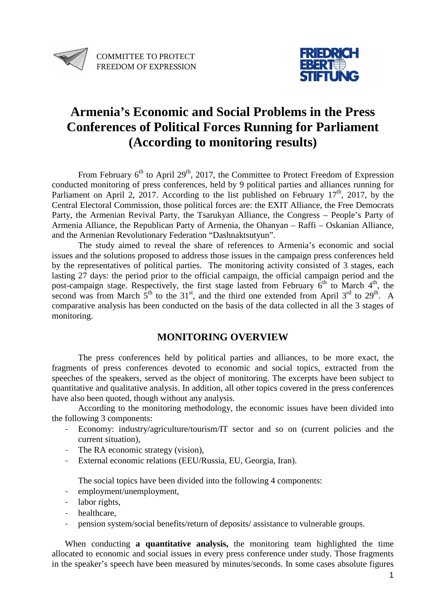



# **Armenia's Economic and Social Problems in the Press Conferences of Political Forces Running for Parliament (According to monitoring results)**

From February  $6<sup>th</sup>$  to April 29<sup>th</sup>, 2017, the Committee to Protect Freedom of Expression conducted monitoring of press conferences, held by 9 political parties and alliances running for Parliament on April 2, 2017. According to the list published on February  $17<sup>th</sup>$ , 2017, by the Central Electoral Commission, those political forces are: the EXIT Alliance, the Free Democrats Party, the Armenian Revival Party, the Tsarukyan Alliance, the Congress – People's Party of Armenia Alliance, the Republican Party of Armenia, the Ohanyan – Raffi – Oskanian Alliance, and the Armenian Revolutionary Federation "Dashnaktsutyun".

The study aimed to reveal the share of references to Armenia's economic and social issues and the solutions proposed to address those issues in the campaign press conferences held by the representatives of political parties. The monitoring activity consisted of 3 stages, each lasting 27 days: the period prior to the official campaign, the official campaign period and the post-campaign stage. Respectively, the first stage lasted from February  $6^{th}$  to March  $4^{th}$ , the second was from March  $5<sup>th</sup>$  to the 31<sup>st</sup>, and the third one extended from April  $3<sup>rd</sup>$  to  $29<sup>th</sup>$ . A comparative analysis has been conducted on the basis of the data collected in all the 3 stages of monitoring.

# **MONITORING OVERVIEW**

The press conferences held by political parties and alliances, to be more exact, the fragments of press conferences devoted to economic and social topics, extracted from the speeches of the speakers, served as the object of monitoring. The excerpts have been subject to quantitative and qualitative analysis. In addition, all other topics covered in the press conferences have also been quoted, though without any analysis.

According to the monitoring methodology, the economic issues have been divided into the following 3 components:

- Economy: industry/agriculture/tourism/IT sector and so on (current policies and the current situation),
- The RA economic strategy (vision),
- External economic relations (EEU/Russia, EU, Georgia, Iran).

The social topics have been divided into the following 4 components:

- employment/unemployment,
- labor rights.
- healthcare,
- pension system/social benefits/return of deposits/ assistance to vulnerable groups.

When conducting **a quantitative analysis,** the monitoring team highlighted the time allocated to economic and social issues in every press conference under study. Those fragments in the speaker's speech have been measured by minutes/seconds. In some cases absolute figures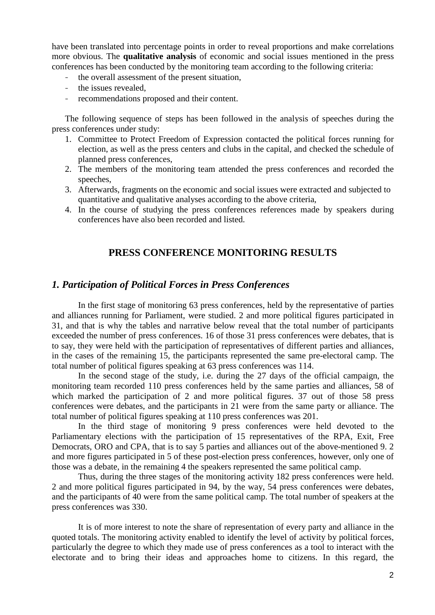have been translated into percentage points in order to reveal proportions and make correlations more obvious. The **qualitative analysis** of economic and social issues mentioned in the press conferences has been conducted by the monitoring team according to the following criteria:

- the overall assessment of the present situation.
- the issues revealed,
- recommendations proposed and their content.

The following sequence of steps has been followed in the analysis of speeches during the press conferences under study:

- 1. Committee to Protect Freedom of Expression contacted the political forces running for election, as well as the press centers and clubs in the capital, and checked the schedule of planned press conferences,
- 2. The members of the monitoring team attended the press conferences and recorded the speeches,
- 3. Afterwards, fragments on the economic and social issues were extracted and subjected to quantitative and qualitative analyses according to the above criteria,
- 4. In the course of studying the press conferences references made by speakers during conferences have also been recorded and listed.

# **PRESS CONFERENCE MONITORING RESULTS**

# *1. Participation of Political Forces in Press Conferences*

In the first stage of monitoring 63 press conferences, held by the representative of parties and alliances running for Parliament, were studied. 2 and more political figures participated in 31, and that is why the tables and narrative below reveal that the total number of participants exceeded the number of press conferences. 16 of those 31 press conferences were debates, that is to say, they were held with the participation of representatives of different parties and alliances, in the cases of the remaining 15, the participants represented the same pre-electoral camp. The total number of political figures speaking at 63 press conferences was 114.

In the second stage of the study, i.e. during the 27 days of the official campaign, the monitoring team recorded 110 press conferences held by the same parties and alliances, 58 of which marked the participation of 2 and more political figures. 37 out of those 58 press conferences were debates, and the participants in 21 were from the same party or alliance. The total number of political figures speaking at 110 press conferences was 201.

In the third stage of monitoring 9 press conferences were held devoted to the Parliamentary elections with the participation of 15 representatives of the RPA, Exit, Free Democrats, ORO and CPA, that is to say 5 parties and alliances out of the above-mentioned 9. 2 and more figures participated in 5 of these post-election press conferences, however, only one of those was a debate, in the remaining 4 the speakers represented the same political camp.

 Thus, during the three stages of the monitoring activity 182 press conferences were held. 2 and more political figures participated in 94, by the way, 54 press conferences were debates, and the participants of 40 were from the same political camp. The total number of speakers at the press conferences was 330.

It is of more interest to note the share of representation of every party and alliance in the quoted totals. The monitoring activity enabled to identify the level of activity by political forces, particularly the degree to which they made use of press conferences as a tool to interact with the electorate and to bring their ideas and approaches home to citizens. In this regard, the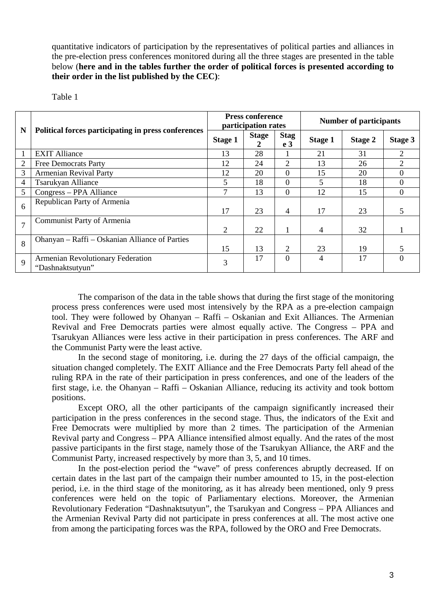quantitative indicators of participation by the representatives of political parties and alliances in the pre-election press conferences monitored during all the three stages are presented in the table below (**here and in the tables further the order of political forces is presented according to their order in the list published by the CEC)**:

| anle |  |
|------|--|
|------|--|

|                |                                                       |                | <b>Press conference</b><br>participation rates |                               | <b>Number of participants</b> |         |                |  |
|----------------|-------------------------------------------------------|----------------|------------------------------------------------|-------------------------------|-------------------------------|---------|----------------|--|
| N              | Political forces participating in press conferences   | <b>Stage 1</b> | <b>Stage</b><br>2                              | <b>Stag</b><br>e <sub>3</sub> | <b>Stage 1</b>                | Stage 2 | Stage 3        |  |
|                | <b>EXIT Alliance</b>                                  | 13             | 28                                             |                               | 21                            | 31      | 2              |  |
| 2              | <b>Free Democrats Party</b>                           | 12             | 24                                             | $\overline{2}$                | 13                            | 26      | 2              |  |
| 3              | <b>Armenian Revival Party</b>                         |                | 20                                             | $\Omega$                      | 15                            | 20      | $\Omega$       |  |
| 4              | <b>Tsarukyan Alliance</b>                             | 5              | 18                                             | $\Omega$                      | 5                             | 18      | $\Omega$       |  |
| 5              | Congress – PPA Alliance                               | 7              | 13                                             | $\theta$                      | 12                            | 15      | $\overline{0}$ |  |
| 6              | Republican Party of Armenia                           | 17             | 23                                             | $\overline{4}$                | 17                            | 23      | 5              |  |
| $\overline{7}$ | Communist Party of Armenia                            | 2              | 22                                             | 1                             | $\overline{4}$                | 32      |                |  |
| 8              | Ohanyan – Raffi – Oskanian Alliance of Parties        | 15             | 13                                             | 2                             | 23                            | 19      | 5              |  |
| 9              | Armenian Revolutionary Federation<br>"Dashnaktsutyun" | 3              | 17                                             | $\theta$                      | 4                             | 17      | $\Omega$       |  |

The comparison of the data in the table shows that during the first stage of the monitoring process press conferences were used most intensively by the RPA as a pre-election campaign tool. They were followed by Ohanyan – Raffi – Oskanian and Exit Alliances. The Armenian Revival and Free Democrats parties were almost equally active. The Congress – PPA and Tsarukyan Alliances were less active in their participation in press conferences. The ARF and the Communist Party were the least active.

In the second stage of monitoring, i.e. during the 27 days of the official campaign, the situation changed completely. The EXIT Alliance and the Free Democrats Party fell ahead of the ruling RPA in the rate of their participation in press conferences, and one of the leaders of the first stage, i.e. the Ohanyan – Raffi – Oskanian Alliance, reducing its activity and took bottom positions.

Except ORO, all the other participants of the campaign significantly increased their participation in the press conferences in the second stage. Thus, the indicators of the Exit and Free Democrats were multiplied by more than 2 times. The participation of the Armenian Revival party and Congress – PPA Alliance intensified almost equally. And the rates of the most passive participants in the first stage, namely those of the Tsarukyan Alliance, the ARF and the Communist Party, increased respectively by more than 3, 5, and 10 times.

In the post-election period the "wave" of press conferences abruptly decreased. If on certain dates in the last part of the campaign their number amounted to 15, in the post-election period, i.e. in the third stage of the monitoring, as it has already been mentioned, only 9 press conferences were held on the topic of Parliamentary elections. Moreover, the Armenian Revolutionary Federation "Dashnaktsutyun", the Tsarukyan and Congress – PPA Alliances and the Armenian Revival Party did not participate in press conferences at all. The most active one from among the participating forces was the RPA, followed by the ORO and Free Democrats.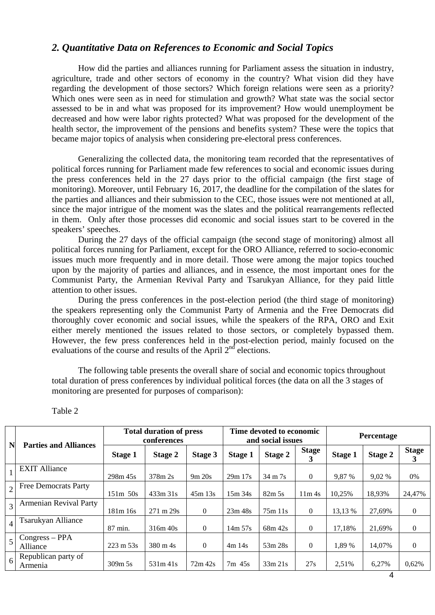# *2. Quantitative Data on References to Economic and Social Topics*

How did the parties and alliances running for Parliament assess the situation in industry, agriculture, trade and other sectors of economy in the country? What vision did they have regarding the development of those sectors? Which foreign relations were seen as a priority? Which ones were seen as in need for stimulation and growth? What state was the social sector assessed to be in and what was proposed for its improvement? How would unemployment be decreased and how were labor rights protected? What was proposed for the development of the health sector, the improvement of the pensions and benefits system? These were the topics that became major topics of analysis when considering pre-electoral press conferences.

Generalizing the collected data, the monitoring team recorded that the representatives of political forces running for Parliament made few references to social and economic issues during the press conferences held in the 27 days prior to the official campaign (the first stage of monitoring). Moreover, until February 16, 2017, the deadline for the compilation of the slates for the parties and alliances and their submission to the CEC, those issues were not mentioned at all, since the major intrigue of the moment was the slates and the political rearrangements reflected in them. Only after those processes did economic and social issues start to be covered in the speakers' speeches.

During the 27 days of the official campaign (the second stage of monitoring) almost all political forces running for Parliament, except for the ORO Alliance, referred to socio-economic issues much more frequently and in more detail. Those were among the major topics touched upon by the majority of parties and alliances, and in essence, the most important ones for the Communist Party, the Armenian Revival Party and Tsarukyan Alliance, for they paid little attention to other issues.

During the press conferences in the post-election period (the third stage of monitoring) the speakers representing only the Communist Party of Armenia and the Free Democrats did thoroughly cover economic and social issues, while the speakers of the RPA, ORO and Exit either merely mentioned the issues related to those sectors, or completely bypassed them. However, the few press conferences held in the post-election period, mainly focused on the evaluations of the course and results of the April  $2<sup>nd</sup>$  elections.

The following table presents the overall share of social and economic topics throughout total duration of press conferences by individual political forces (the data on all the 3 stages of monitoring are presented for purposes of comparison):

| N                | <b>Parties and Alliances</b>   | <b>Total duration of press</b><br>conferences |                      |           |                | Time devoted to economic<br>and social issues |                   | Percentage     |         |                   |
|------------------|--------------------------------|-----------------------------------------------|----------------------|-----------|----------------|-----------------------------------------------|-------------------|----------------|---------|-------------------|
|                  |                                | Stage 1                                       | Stage 2              | Stage 3   | <b>Stage 1</b> | Stage 2                                       | <b>Stage</b><br>3 | <b>Stage 1</b> | Stage 2 | <b>Stage</b><br>3 |
|                  | <b>EXIT Alliance</b>           | 298m 45s                                      | 378m 2s              | 9m 20s    | 29m 17s        | $34 \text{ m}$ 7s                             | $\theta$          | 9,87 %         | 9,02 %  | $0\%$             |
| $\overline{2}$   | <b>Free Democrats Party</b>    | $151m$ 50s                                    | 433m31s              | 45m 13s   | 15m34s         | $82m\,5s$                                     | 11m <sub>4s</sub> | 10,25%         | 18,93%  | 24,47%            |
| $\overline{3}$   | <b>Armenian Revival Party</b>  | 181m 16s                                      | $271 \text{ m } 29s$ | $\Omega$  | 23m 48s        | 75m 11s                                       | $\theta$          | 13,13 %        | 27,69%  | $\mathbf{0}$      |
| $\vert$          | Tsarukyan Alliance             | 87 min.                                       | 316m 40s             | $\Omega$  | $14m\,57s$     | 68m 42s                                       | $\mathbf{0}$      | 17.18%         | 21.69%  | $\mathbf{0}$      |
| $\overline{5}$   | $Congress - PPA$<br>Alliance   | $223 \text{ m } 53 \text{s}$                  | $380 \text{ m}$ 4s   | $\Omega$  | 4m14s          | 53m 28s                                       | $\mathbf{0}$      | 1,89 %         | 14,07%  | $\boldsymbol{0}$  |
| $6 \overline{6}$ | Republican party of<br>Armenia | $309m$ 5s                                     | 531m41s              | $72m$ 42s | $7m$ 45s       | 33m 21s                                       | 27s               | 2,51%          | 6,27%   | 0,62%             |

Table 2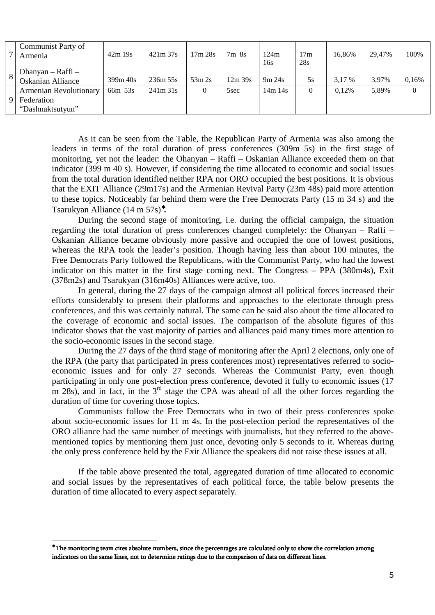| Communist Party of<br>Armenia                   | 42m19s   | 421m37s  | 17m 28s | 7m8s      | 124m<br>16s | 17m<br>28s     | 16.86% | 29.47% | 100%  |
|-------------------------------------------------|----------|----------|---------|-----------|-------------|----------------|--------|--------|-------|
| $Ohanyan - Raffi -$<br><b>Oskanian Alliance</b> | 399m 40s | 236m 55s | 53m 2s  | $12m$ 39s | 9m 24s      | 5s             | 3.17 % | 3.97%  | 0,16% |
| <b>Armenian Revolutionary</b>                   | 66m 53s  | 241m31s  | 0       | 5sec      | 14m 14s     | $\overline{0}$ | 0.12%  | 5,89%  |       |
| Federation                                      |          |          |         |           |             |                |        |        |       |
| "Dashnaktsutyun"                                |          |          |         |           |             |                |        |        |       |

As it can be seen from the Table, the Republican Party of Armenia was also among the leaders in terms of the total duration of press conferences (309m 5s) in the first stage of monitoring, yet not the leader: the Ohanyan – Raffi – Oskanian Alliance exceeded them on that indicator (399 m 40 s). However, if considering the time allocated to economic and social issues from the total duration identified neither RPA nor ORO occupied the best positions. It is obvious that the EXIT Alliance (29m17s) and the Armenian Revival Party (23m 48s) paid more attention to these topics. Noticeably far behind them were the Free Democrats Party (15 m 34 s) and the Tsarukyan Alliance (14 m 57s)<sup>∗</sup> **.**

 During the second stage of monitoring, i.e. during the official campaign, the situation regarding the total duration of press conferences changed completely: the Ohanyan – Raffi – Oskanian Alliance became obviously more passive and occupied the one of lowest positions, whereas the RPA took the leader's position. Though having less than about 100 minutes, the Free Democrats Party followed the Republicans, with the Communist Party, who had the lowest indicator on this matter in the first stage coming next. The Congress – PPA (380m4s), Exit (378m2s) and Tsarukyan (316m40s) Alliances were active, too.

In general, during the 27 days of the campaign almost all political forces increased their efforts considerably to present their platforms and approaches to the electorate through press conferences, and this was certainly natural. The same can be said also about the time allocated to the coverage of economic and social issues. The comparison of the absolute figures of this indicator shows that the vast majority of parties and alliances paid many times more attention to the socio-economic issues in the second stage.

During the 27 days of the third stage of monitoring after the April 2 elections, only one of the RPA (the party that participated in press conferences most) representatives referred to socioeconomic issues and for only 27 seconds. Whereas the Communist Party, even though participating in only one post-election press conference, devoted it fully to economic issues (17 m 28s), and in fact, in the  $3<sup>rd</sup>$  stage the CPA was ahead of all the other forces regarding the duration of time for covering those topics.

Communists follow the Free Democrats who in two of their press conferences spoke about socio-economic issues for 11 m 4s. In the post-election period the representatives of the ORO alliance had the same number of meetings with journalists, but they referred to the abovementioned topics by mentioning them just once, devoting only 5 seconds to it. Whereas during the only press conference held by the Exit Alliance the speakers did not raise these issues at all.

If the table above presented the total, aggregated duration of time allocated to economic and social issues by the representatives of each political force, the table below presents the duration of time allocated to every aspect separately.

<sup>\*</sup> The monitoring team cites absolute numbers, since the percentages are calculated only to show the correlation among indicators on the same lines, not to determine ratings due to the comparison of data on different lines.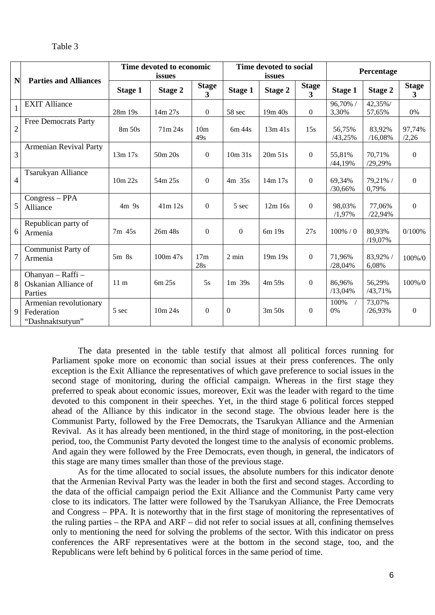|                |                                                          | Time devoted to economic<br>issues |            |                                |                | Time devoted to social<br>issues |                                         | Percentage        |                   |                                |
|----------------|----------------------------------------------------------|------------------------------------|------------|--------------------------------|----------------|----------------------------------|-----------------------------------------|-------------------|-------------------|--------------------------------|
| N              | <b>Parties and Alliances</b>                             | <b>Stage 1</b>                     | Stage 2    | <b>Stage</b><br>$\overline{3}$ | <b>Stage 1</b> | Stage 2                          | <b>Stage</b><br>$\overline{\mathbf{3}}$ | <b>Stage 1</b>    | <b>Stage 2</b>    | <b>Stage</b><br>$\overline{3}$ |
| $\mathbf 1$    | <b>EXIT Alliance</b>                                     | 28m 19s                            | 14m 27s    | $\Omega$                       | 58 sec         | 19m 40s                          | $\Omega$                                | 96,70% /<br>3,30% | 42,35%/<br>57,65% | 0%                             |
| $\mathbf{2}$   | <b>Free Democrats Party</b>                              | $8m$ 50s                           | 71m 24s    | 10 <sub>m</sub><br>49s         | 6m/44s         | $13m$ 41s                        | 15s                                     | 56,75%<br>/43,25% | 83,92%<br>/16,08% | 97,74%<br>/2,26                |
| 3              | <b>Armenian Revival Party</b>                            | 13m 17s                            | 50m 20s    | $\mathbf{0}$                   | 10m31s         | 20m 51s                          | $\Omega$                                | 55,81%<br>/44,19% | 70,71%<br>/29,29% | $\theta$                       |
| $\overline{4}$ | Tsarukyan Alliance                                       | 10m 22s                            | 54m 25s    | $\mathbf{0}$                   | 4m 35s         | 14m 17s                          | $\boldsymbol{0}$                        | 69,34%<br>/30,66% | 79,21% /<br>0,79% | $\boldsymbol{0}$               |
| 5              | Congress - PPA<br>Alliance                               | 4m <sub>9s</sub>                   | $41m$ 12s  | $\boldsymbol{0}$               | 5 sec          | $12m$ 16s                        | $\Omega$                                | 98,03%<br>/1,97%  | 77,06%<br>/22,94% | $\Omega$                       |
| 6              | Republican party of<br>Armenia                           | 7m 45s                             | 26m 48s    | $\overline{0}$                 | $\overline{0}$ | 6m 19s                           | 27s                                     | $100\% / 0$       | 80,93%<br>/19,07% | 0/100%                         |
| $\overline{7}$ | Communist Party of<br>Armenia                            | $5m$ $8s$                          | $100m$ 47s | 17 <sub>m</sub><br>28s         | 2 min          | 19m 19s                          | $\Omega$                                | 71,96%<br>/28,04% | 83,92% /<br>6,08% | $100\%/0$                      |
| 8 <sup>1</sup> | Ohanyan - Raffi -<br>Oskanian Alliance of<br>Parties     | 11 <sub>m</sub>                    | 6m 25s     | 5s                             | $1m$ 39s       | $4m\,59s$                        | $\Omega$                                | 86,96%<br>/13,04% | 56,29%<br>/43,71% | 100%/0                         |
| $\overline{9}$ | Armenian revolutionary<br>Federation<br>"Dashnaktsutyun" | 5 sec                              | 10m 24s    | $\mathbf{0}$                   | $\theta$       | 3m 50s                           | $\Omega$                                | 100%<br>0%        | 73,07%<br>/26,93% | $\mathbf{0}$                   |

The data presented in the table testify that almost all political forces running for Parliament spoke more on economic than social issues at their press conferences. The only exception is the Exit Alliance the representatives of which gave preference to social issues in the second stage of monitoring, during the official campaign. Whereas in the first stage they preferred to speak about economic issues, moreover, Exit was the leader with regard to the time devoted to this component in their speeches. Yet, in the third stage 6 political forces stepped ahead of the Alliance by this indicator in the second stage. The obvious leader here is the Communist Party, followed by the Free Democrats, the Tsarukyan Alliance and the Armenian Revival. As it has already been mentioned, in the third stage of monitoring, in the post-election period, too, the Communist Party devoted the longest time to the analysis of economic problems. And again they were followed by the Free Democrats, even though, in general, the indicators of this stage are many times smaller than those of the previous stage.

As for the time allocated to social issues, the absolute numbers for this indicator denote that the Armenian Revival Party was the leader in both the first and second stages. According to the data of the official campaign period the Exit Alliance and the Communist Party came very close to its indicators. The latter were followed by the Tsarukyan Alliance, the Free Democrats and Congress – PPA. It is noteworthy that in the first stage of monitoring the representatives of the ruling parties – the RPA and ARF – did not refer to social issues at all, confining themselves only to mentioning the need for solving the problems of the sector. With this indicator on press conferences the ARF representatives were at the bottom in the second stage, too, and the Republicans were left behind by 6 political forces in the same period of time.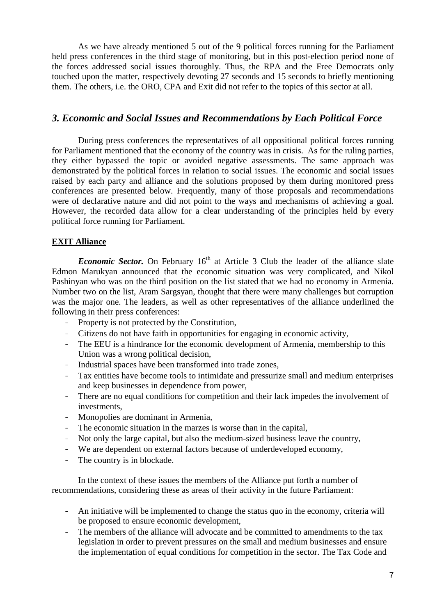As we have already mentioned 5 out of the 9 political forces running for the Parliament held press conferences in the third stage of monitoring, but in this post-election period none of the forces addressed social issues thoroughly. Thus, the RPA and the Free Democrats only touched upon the matter, respectively devoting 27 seconds and 15 seconds to briefly mentioning them. The others, i.e. the ORO, CPA and Exit did not refer to the topics of this sector at all.

# *3. Economic and Social Issues and Recommendations by Each Political Force*

During press conferences the representatives of all oppositional political forces running for Parliament mentioned that the economy of the country was in crisis. As for the ruling parties, they either bypassed the topic or avoided negative assessments. The same approach was demonstrated by the political forces in relation to social issues. The economic and social issues raised by each party and alliance and the solutions proposed by them during monitored press conferences are presented below. Frequently, many of those proposals and recommendations were of declarative nature and did not point to the ways and mechanisms of achieving a goal. However, the recorded data allow for a clear understanding of the principles held by every political force running for Parliament.

## **EXIT Alliance**

*Economic Sector.* On February 16<sup>th</sup> at Article 3 Club the leader of the alliance slate Edmon Marukyan announced that the economic situation was very complicated, and Nikol Pashinyan who was on the third position on the list stated that we had no economy in Armenia. Number two on the list, Aram Sargsyan, thought that there were many challenges but corruption was the major one. The leaders, as well as other representatives of the alliance underlined the following in their press conferences:

- Property is not protected by the Constitution,
- Citizens do not have faith in opportunities for engaging in economic activity,
- The EEU is a hindrance for the economic development of Armenia, membership to this Union was a wrong political decision,
- Industrial spaces have been transformed into trade zones,
- Tax entities have become tools to intimidate and pressurize small and medium enterprises and keep businesses in dependence from power,
- There are no equal conditions for competition and their lack impedes the involvement of investments,
- Monopolies are dominant in Armenia,
- The economic situation in the marzes is worse than in the capital,
- Not only the large capital, but also the medium-sized business leave the country,
- We are dependent on external factors because of underdeveloped economy,
- The country is in blockade.

In the context of these issues the members of the Alliance put forth a number of recommendations, considering these as areas of their activity in the future Parliament:

- An initiative will be implemented to change the status quo in the economy, criteria will be proposed to ensure economic development,
- The members of the alliance will advocate and be committed to amendments to the tax legislation in order to prevent pressures on the small and medium businesses and ensure the implementation of equal conditions for competition in the sector. The Tax Code and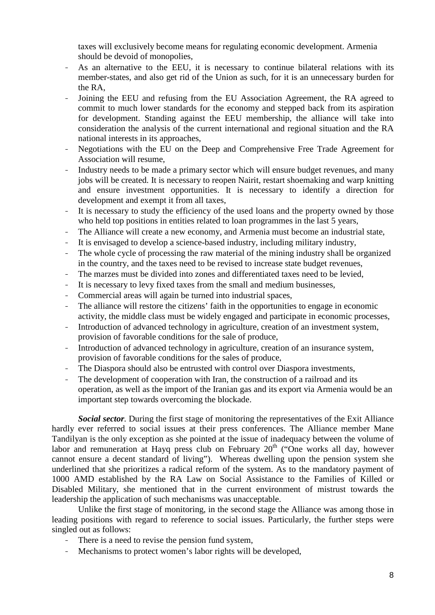taxes will exclusively become means for regulating economic development. Armenia should be devoid of monopolies,

- As an alternative to the EEU, it is necessary to continue bilateral relations with its member-states, and also get rid of the Union as such, for it is an unnecessary burden for the RA,
- Joining the EEU and refusing from the EU Association Agreement, the RA agreed to commit to much lower standards for the economy and stepped back from its aspiration for development. Standing against the EEU membership, the alliance will take into consideration the analysis of the current international and regional situation and the RA national interests in its approaches,
- Negotiations with the EU on the Deep and Comprehensive Free Trade Agreement for Association will resume,
- Industry needs to be made a primary sector which will ensure budget revenues, and many jobs will be created. It is necessary to reopen Nairit, restart shoemaking and warp knitting and ensure investment opportunities. It is necessary to identify a direction for development and exempt it from all taxes,
- It is necessary to study the efficiency of the used loans and the property owned by those who held top positions in entities related to loan programmes in the last 5 years,
- The Alliance will create a new economy, and Armenia must become an industrial state,
- It is envisaged to develop a science-based industry, including military industry,
- The whole cycle of processing the raw material of the mining industry shall be organized in the country, and the taxes need to be revised to increase state budget revenues,
- The marzes must be divided into zones and differentiated taxes need to be levied,
- It is necessary to levy fixed taxes from the small and medium businesses,
- Commercial areas will again be turned into industrial spaces,
- The alliance will restore the citizens' faith in the opportunities to engage in economic activity, the middle class must be widely engaged and participate in economic processes,
- Introduction of advanced technology in agriculture, creation of an investment system, provision of favorable conditions for the sale of produce,
- Introduction of advanced technology in agriculture, creation of an insurance system, provision of favorable conditions for the sales of produce,
- The Diaspora should also be entrusted with control over Diaspora investments,
- The development of cooperation with Iran, the construction of a railroad and its operation, as well as the import of the Iranian gas and its export via Armenia would be an important step towards overcoming the blockade.

*Social sector.* During the first stage of monitoring the representatives of the Exit Alliance hardly ever referred to social issues at their press conferences. The Alliance member Mane Tandilyan is the only exception as she pointed at the issue of inadequacy between the volume of labor and remuneration at Hayq press club on February  $20<sup>th</sup>$  ("One works all day, however cannot ensure a decent standard of living"). Whereas dwelling upon the pension system she underlined that she prioritizes a radical reform of the system. As to the mandatory payment of 1000 AMD established by the RA Law on Social Assistance to the Families of Killed or Disabled Military, she mentioned that in the current environment of mistrust towards the leadership the application of such mechanisms was unacceptable.

Unlike the first stage of monitoring, in the second stage the Alliance was among those in leading positions with regard to reference to social issues. Particularly, the further steps were singled out as follows:

- There is a need to revise the pension fund system,
- Mechanisms to protect women's labor rights will be developed,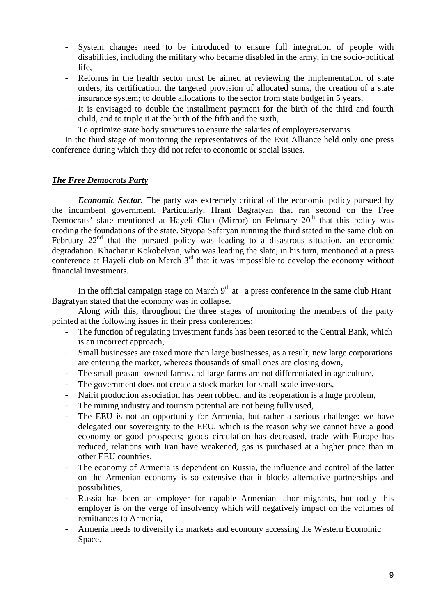- System changes need to be introduced to ensure full integration of people with disabilities, including the military who became disabled in the army, in the socio-political life,
- Reforms in the health sector must be aimed at reviewing the implementation of state orders, its certification, the targeted provision of allocated sums, the creation of a state insurance system; to double allocations to the sector from state budget in 5 years,
- It is envisaged to double the installment payment for the birth of the third and fourth child, and to triple it at the birth of the fifth and the sixth,
- To optimize state body structures to ensure the salaries of employers/servants.

In the third stage of monitoring the representatives of the Exit Alliance held only one press conference during which they did not refer to economic or social issues.

## *The Free Democrats Party*

*Economic Sector.* The party was extremely critical of the economic policy pursued by the incumbent government. Particularly, Hrant Bagratyan that ran second on the Free Democrats' slate mentioned at Hayeli Club (Mirror) on February 20<sup>th</sup> that this policy was eroding the foundations of the state. Styopa Safaryan running the third stated in the same club on February  $22<sup>nd</sup>$  that the pursued policy was leading to a disastrous situation, an economic degradation. Khachatur Kokobelyan, who was leading the slate, in his turn, mentioned at a press conference at Hayeli club on March  $3<sup>rd</sup>$  that it was impossible to develop the economy without financial investments.

In the official campaign stage on March  $9<sup>th</sup>$  at a press conference in the same club Hrant Bagratyan stated that the economy was in collapse.

Along with this, throughout the three stages of monitoring the members of the party pointed at the following issues in their press conferences:

- The function of regulating investment funds has been resorted to the Central Bank, which is an incorrect approach,
- Small businesses are taxed more than large businesses, as a result, new large corporations are entering the market, whereas thousands of small ones are closing down,
- The small peasant-owned farms and large farms are not differentiated in agriculture,
- The government does not create a stock market for small-scale investors,
- Nairit production association has been robbed, and its reoperation is a huge problem,
- The mining industry and tourism potential are not being fully used,
- The EEU is not an opportunity for Armenia, but rather a serious challenge: we have delegated our sovereignty to the EEU, which is the reason why we cannot have a good economy or good prospects; goods circulation has decreased, trade with Europe has reduced, relations with Iran have weakened, gas is purchased at a higher price than in other EEU countries,
- The economy of Armenia is dependent on Russia, the influence and control of the latter on the Armenian economy is so extensive that it blocks alternative partnerships and possibilities,
- Russia has been an employer for capable Armenian labor migrants, but today this employer is on the verge of insolvency which will negatively impact on the volumes of remittances to Armenia,
- Armenia needs to diversify its markets and economy accessing the Western Economic Space.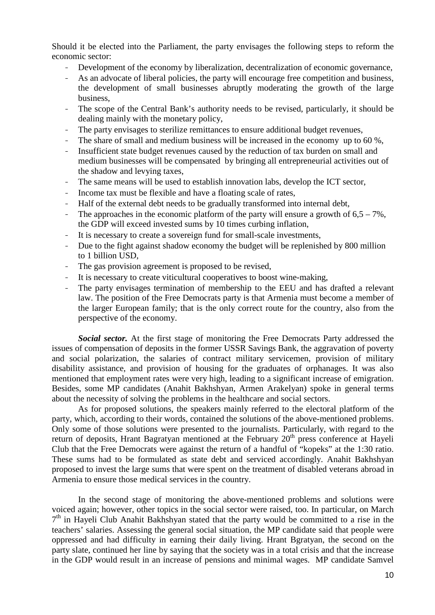Should it be elected into the Parliament, the party envisages the following steps to reform the economic sector:

- Development of the economy by liberalization, decentralization of economic governance,
- As an advocate of liberal policies, the party will encourage free competition and business, the development of small businesses abruptly moderating the growth of the large business,
- The scope of the Central Bank's authority needs to be revised, particularly, it should be dealing mainly with the monetary policy,
- The party envisages to sterilize remittances to ensure additional budget revenues,
- The share of small and medium business will be increased in the economy up to 60 %,
- Insufficient state budget revenues caused by the reduction of tax burden on small and medium businesses will be compensated by bringing all entrepreneurial activities out of the shadow and levying taxes,
- The same means will be used to establish innovation labs, develop the ICT sector,
- Income tax must be flexible and have a floating scale of rates,
- Half of the external debt needs to be gradually transformed into internal debt,
- The approaches in the economic platform of the party will ensure a growth of  $6.5 7\%$ , the GDP will exceed invested sums by 10 times curbing inflation,
- It is necessary to create a sovereign fund for small-scale investments,
- Due to the fight against shadow economy the budget will be replenished by 800 million to 1 billion USD,
- The gas provision agreement is proposed to be revised,
- It is necessary to create viticultural cooperatives to boost wine-making,
- The party envisages termination of membership to the EEU and has drafted a relevant law. The position of the Free Democrats party is that Armenia must become a member of the larger European family; that is the only correct route for the country, also from the perspective of the economy.

*Social sector.* At the first stage of monitoring the Free Democrats Party addressed the issues of compensation of deposits in the former USSR Savings Bank, the aggravation of poverty and social polarization, the salaries of contract military servicemen, provision of military disability assistance, and provision of housing for the graduates of orphanages. It was also mentioned that employment rates were very high, leading to a significant increase of emigration. Besides, some MP candidates (Anahit Bakhshyan, Armen Arakelyan) spoke in general terms about the necessity of solving the problems in the healthcare and social sectors.

As for proposed solutions, the speakers mainly referred to the electoral platform of the party, which, according to their words, contained the solutions of the above-mentioned problems. Only some of those solutions were presented to the journalists. Particularly, with regard to the return of deposits, Hrant Bagratyan mentioned at the February 20<sup>th</sup> press conference at Hayeli Club that the Free Democrats were against the return of a handful of "kopeks" at the 1:30 ratio. These sums had to be formulated as state debt and serviced accordingly. Anahit Bakhshyan proposed to invest the large sums that were spent on the treatment of disabled veterans abroad in Armenia to ensure those medical services in the country.

In the second stage of monitoring the above-mentioned problems and solutions were voiced again; however, other topics in the social sector were raised, too. In particular, on March 7<sup>th</sup> in Hayeli Club Anahit Bakhshyan stated that the party would be committed to a rise in the teachers' salaries. Assessing the general social situation, the MP candidate said that people were oppressed and had difficulty in earning their daily living. Hrant Bgratyan, the second on the party slate, continued her line by saying that the society was in a total crisis and that the increase in the GDP would result in an increase of pensions and minimal wages. MP candidate Samvel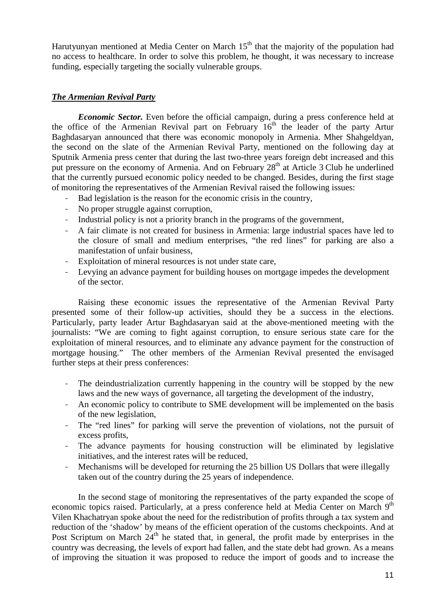Harutyunyan mentioned at Media Center on March  $15<sup>th</sup>$  that the majority of the population had no access to healthcare. In order to solve this problem, he thought, it was necessary to increase funding, especially targeting the socially vulnerable groups.

## *The Armenian Revival Party*

*Economic Sector.* Even before the official campaign, during a press conference held at the office of the Armenian Revival part on February  $16<sup>th</sup>$  the leader of the party Artur Baghdasaryan announced that there was economic monopoly in Armenia. Mher Shahgeldyan, the second on the slate of the Armenian Revival Party, mentioned on the following day at Sputnik Armenia press center that during the last two-three years foreign debt increased and this put pressure on the economy of Armenia. And on February  $28<sup>th</sup>$  at Article 3 Club he underlined that the currently pursued economic policy needed to be changed. Besides, during the first stage of monitoring the representatives of the Armenian Revival raised the following issues:

- Bad legislation is the reason for the economic crisis in the country,
- No proper struggle against corruption,
- Industrial policy is not a priority branch in the programs of the government,
- A fair climate is not created for business in Armenia: large industrial spaces have led to the closure of small and medium enterprises, "the red lines" for parking are also a manifestation of unfair business,
- Exploitation of mineral resources is not under state care,
- Levying an advance payment for building houses on mortgage impedes the development of the sector.

Raising these economic issues the representative of the Armenian Revival Party presented some of their follow-up activities, should they be a success in the elections. Particularly, party leader Artur Baghdasaryan said at the above-mentioned meeting with the journalists: "We are coming to fight against corruption, to ensure serious state care for the exploitation of mineral resources, and to eliminate any advance payment for the construction of mortgage housing." The other members of the Armenian Revival presented the envisaged further steps at their press conferences:

- The deindustrialization currently happening in the country will be stopped by the new laws and the new ways of governance, all targeting the development of the industry,
- An economic policy to contribute to SME development will be implemented on the basis of the new legislation,
- The "red lines" for parking will serve the prevention of violations, not the pursuit of excess profits,
- The advance payments for housing construction will be eliminated by legislative initiatives, and the interest rates will be reduced,
- Mechanisms will be developed for returning the 25 billion US Dollars that were illegally taken out of the country during the 25 years of independence.

In the second stage of monitoring the representatives of the party expanded the scope of economic topics raised. Particularly, at a press conference held at Media Center on March 9<sup>th</sup> Vilen Khachatryan spoke about the need for the redistribution of profits through a tax system and reduction of the 'shadow' by means of the efficient operation of the customs checkpoints. And at Post Scriptum on March  $24<sup>th</sup>$  he stated that, in general, the profit made by enterprises in the country was decreasing, the levels of export had fallen, and the state debt had grown. As a means of improving the situation it was proposed to reduce the import of goods and to increase the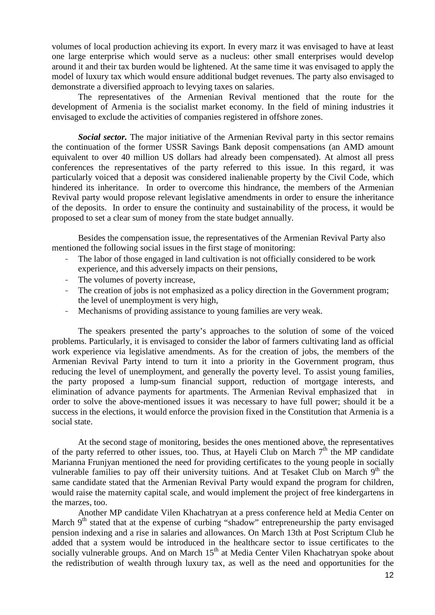volumes of local production achieving its export. In every marz it was envisaged to have at least one large enterprise which would serve as a nucleus: other small enterprises would develop around it and their tax burden would be lightened. At the same time it was envisaged to apply the model of luxury tax which would ensure additional budget revenues. The party also envisaged to demonstrate a diversified approach to levying taxes on salaries.

The representatives of the Armenian Revival mentioned that the route for the development of Armenia is the socialist market economy. In the field of mining industries it envisaged to exclude the activities of companies registered in offshore zones.

*Social sector.* The major initiative of the Armenian Revival party in this sector remains the continuation of the former USSR Savings Bank deposit compensations (an AMD amount equivalent to over 40 million US dollars had already been compensated). At almost all press conferences the representatives of the party referred to this issue. In this regard, it was particularly voiced that a deposit was considered inalienable property by the Civil Code, which hindered its inheritance. In order to overcome this hindrance, the members of the Armenian Revival party would propose relevant legislative amendments in order to ensure the inheritance of the deposits. In order to ensure the continuity and sustainability of the process, it would be proposed to set a clear sum of money from the state budget annually.

Besides the compensation issue, the representatives of the Armenian Revival Party also mentioned the following social issues in the first stage of monitoring:

- The labor of those engaged in land cultivation is not officially considered to be work experience, and this adversely impacts on their pensions,
- The volumes of poverty increase,
- The creation of jobs is not emphasized as a policy direction in the Government program; the level of unemployment is very high,
- Mechanisms of providing assistance to young families are very weak.

The speakers presented the party's approaches to the solution of some of the voiced problems. Particularly, it is envisaged to consider the labor of farmers cultivating land as official work experience via legislative amendments. As for the creation of jobs, the members of the Armenian Revival Party intend to turn it into a priority in the Government program, thus reducing the level of unemployment, and generally the poverty level. To assist young families, the party proposed a lump-sum financial support, reduction of mortgage interests, and elimination of advance payments for apartments. The Armenian Revival emphasized that in order to solve the above-mentioned issues it was necessary to have full power; should it be a success in the elections, it would enforce the provision fixed in the Constitution that Armenia is a social state.

At the second stage of monitoring, besides the ones mentioned above, the representatives of the party referred to other issues, too. Thus, at Hayeli Club on March  $7<sup>th</sup>$  the MP candidate Marianna Frunjyan mentioned the need for providing certificates to the young people in socially vulnerable families to pay off their university tuitions. And at Tesaket Club on March  $9<sup>th</sup>$  the same candidate stated that the Armenian Revival Party would expand the program for children, would raise the maternity capital scale, and would implement the project of free kindergartens in the marzes, too.

Another MP candidate Vilen Khachatryan at a press conference held at Media Center on March 9<sup>th</sup> stated that at the expense of curbing "shadow" entrepreneurship the party envisaged pension indexing and a rise in salaries and allowances. On March 13th at Post Scriptum Club he added that a system would be introduced in the healthcare sector to issue certificates to the socially vulnerable groups. And on March 15<sup>th</sup> at Media Center Vilen Khachatryan spoke about the redistribution of wealth through luxury tax, as well as the need and opportunities for the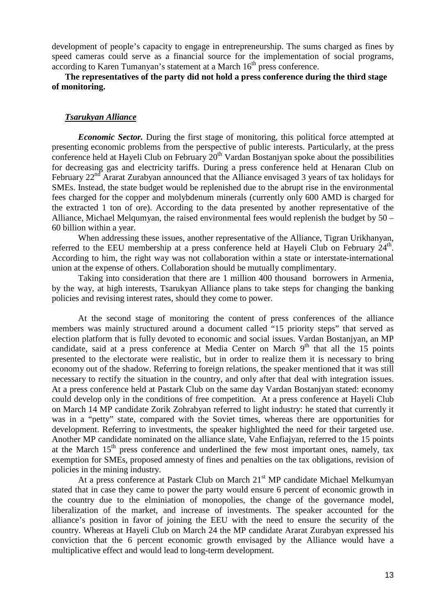development of people's capacity to engage in entrepreneurship. The sums charged as fines by speed cameras could serve as a financial source for the implementation of social programs, according to Karen Tumanyan's statement at a March 16<sup>th</sup> press conference.

**The representatives of the party did not hold a press conference during the third stage of monitoring.** 

#### *Tsarukyan Alliance*

*Economic Sector.* During the first stage of monitoring, this political force attempted at presenting economic problems from the perspective of public interests. Particularly, at the press conference held at Hayeli Club on February  $20<sup>th</sup>$  Vardan Bostaniyan spoke about the possibilities for decreasing gas and electricity tariffs. During a press conference held at Henaran Club on February  $22<sup>nd</sup>$  Ararat Zurabyan announced that the Alliance envisaged 3 years of tax holidays for SMEs. Instead, the state budget would be replenished due to the abrupt rise in the environmental fees charged for the copper and molybdenum minerals (currently only 600 AMD is charged for the extracted 1 ton of ore). According to the data presented by another representative of the Alliance, Michael Melqumyan, the raised environmental fees would replenish the budget by 50 – 60 billion within a year.

When addressing these issues, another representative of the Alliance, Tigran Urikhanyan, referred to the EEU membership at a press conference held at Hayeli Club on February 24<sup>th</sup>. According to him, the right way was not collaboration within a state or interstate-international union at the expense of others. Collaboration should be mutually complimentary.

Taking into consideration that there are 1 million 400 thousand borrowers in Armenia, by the way, at high interests, Tsarukyan Alliance plans to take steps for changing the banking policies and revising interest rates, should they come to power.

At the second stage of monitoring the content of press conferences of the alliance members was mainly structured around a document called "15 priority steps" that served as election platform that is fully devoted to economic and social issues. Vardan Bostanjyan, an MP candidate, said at a press conference at Media Center on March  $9<sup>th</sup>$  that all the 15 points presented to the electorate were realistic, but in order to realize them it is necessary to bring economy out of the shadow. Referring to foreign relations, the speaker mentioned that it was still necessary to rectify the situation in the country, and only after that deal with integration issues. At a press conference held at Pastark Club on the same day Vardan Bostanjyan stated: economy could develop only in the conditions of free competition. At a press conference at Hayeli Club on March 14 MP candidate Zorik Zohrabyan referred to light industry: he stated that currently it was in a "petty" state, compared with the Soviet times, whereas there are opportunities for development. Referring to investments, the speaker highlighted the need for their targeted use. Another MP candidate nominated on the alliance slate, Vahe Enfiajyan, referred to the 15 points at the March  $15<sup>th</sup>$  press conference and underlined the few most important ones, namely, tax exemption for SMEs, proposed amnesty of fines and penalties on the tax obligations, revision of policies in the mining industry.

At a press conference at Pastark Club on March 21<sup>st</sup> MP candidate Michael Melkumyan stated that in case they came to power the party would ensure 6 percent of economic growth in the country due to the elminiation of monopolies, the change of the governance model, liberalization of the market, and increase of investments. The speaker accounted for the alliance's position in favor of joining the EEU with the need to ensure the security of the country. Whereas at Hayeli Club on March 24 the MP candidate Ararat Zurabyan expressed his conviction that the 6 percent economic growth envisaged by the Alliance would have a multiplicative effect and would lead to long-term development.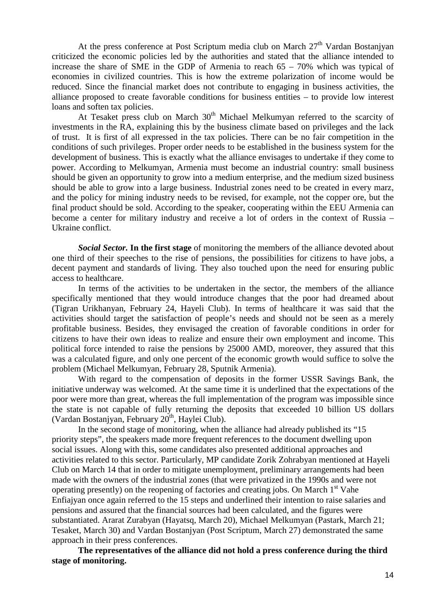At the press conference at Post Scriptum media club on March  $27<sup>th</sup>$  Vardan Bostanjyan criticized the economic policies led by the authorities and stated that the alliance intended to increase the share of SME in the GDP of Armenia to reach 65 – 70% which was typical of economies in civilized countries. This is how the extreme polarization of income would be reduced. Since the financial market does not contribute to engaging in business activities, the alliance proposed to create favorable conditions for business entities – to provide low interest loans and soften tax policies.

At Tesaket press club on March  $30<sup>th</sup>$  Michael Melkumyan referred to the scarcity of investments in the RA, explaining this by the business climate based on privileges and the lack of trust. It is first of all expressed in the tax policies. There can be no fair competition in the conditions of such privileges. Proper order needs to be established in the business system for the development of business. This is exactly what the alliance envisages to undertake if they come to power. According to Melkumyan, Armenia must become an industrial country: small business should be given an opportunity to grow into a medium enterprise, and the medium sized business should be able to grow into a large business. Industrial zones need to be created in every marz, and the policy for mining industry needs to be revised, for example, not the copper ore, but the final product should be sold. According to the speaker, cooperating within the EEU Armenia can become a center for military industry and receive a lot of orders in the context of Russia – Ukraine conflict.

*Social Sector.* **In the first stage** of monitoring the members of the alliance devoted about one third of their speeches to the rise of pensions, the possibilities for citizens to have jobs, a decent payment and standards of living. They also touched upon the need for ensuring public access to healthcare.

In terms of the activities to be undertaken in the sector, the members of the alliance specifically mentioned that they would introduce changes that the poor had dreamed about (Tigran Urikhanyan, February 24, Hayeli Club). In terms of healthcare it was said that the activities should target the satisfaction of people's needs and should not be seen as a merely profitable business. Besides, they envisaged the creation of favorable conditions in order for citizens to have their own ideas to realize and ensure their own employment and income. This political force intended to raise the pensions by 25000 AMD, moreover, they assured that this was a calculated figure, and only one percent of the economic growth would suffice to solve the problem (Michael Melkumyan, February 28, Sputnik Armenia).

With regard to the compensation of deposits in the former USSR Savings Bank, the initiative underway was welcomed. At the same time it is underlined that the expectations of the poor were more than great, whereas the full implementation of the program was impossible since the state is not capable of fully returning the deposits that exceeded 10 billion US dollars (Vardan Bostanjyan, February  $20<sup>th</sup>$ , Haylei Club).

 In the second stage of monitoring, when the alliance had already published its "15 priority steps", the speakers made more frequent references to the document dwelling upon social issues. Along with this, some candidates also presented additional approaches and activities related to this sector. Particularly, MP candidate Zorik Zohrabyan mentioned at Hayeli Club on March 14 that in order to mitigate unemployment, preliminary arrangements had been made with the owners of the industrial zones (that were privatized in the 1990s and were not operating presently) on the reopening of factories and creating jobs. On March  $1<sup>st</sup>$  Vahe Enfiajyan once again referred to the 15 steps and underlined their intention to raise salaries and pensions and assured that the financial sources had been calculated, and the figures were substantiated. Ararat Zurabyan (Hayatsq, March 20), Michael Melkumyan (Pastark, March 21; Tesaket, March 30) and Vardan Bostanjyan (Post Scriptum, March 27) demonstrated the same approach in their press conferences.

**The representatives of the alliance did not hold a press conference during the third stage of monitoring.**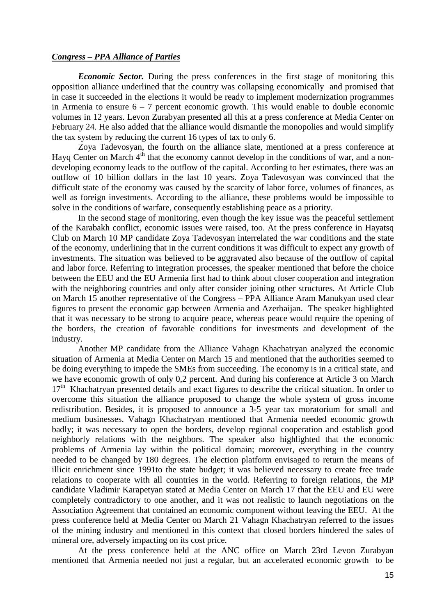#### *Congress – PPA Alliance of Parties*

*Economic Sector.* During the press conferences in the first stage of monitoring this opposition alliance underlined that the country was collapsing economically and promised that in case it succeeded in the elections it would be ready to implement modernization programmes in Armenia to ensure  $6 - 7$  percent economic growth. This would enable to double economic volumes in 12 years. Levon Zurabyan presented all this at a press conference at Media Center on February 24. He also added that the alliance would dismantle the monopolies and would simplify the tax system by reducing the current 16 types of tax to only 6.

Zoya Tadevosyan, the fourth on the alliance slate, mentioned at a press conference at Hayq Center on March  $4<sup>th</sup>$  that the economy cannot develop in the conditions of war, and a nondeveloping economy leads to the outflow of the capital. According to her estimates, there was an outflow of 10 billion dollars in the last 10 years. Zoya Tadevosyan was convinced that the difficult state of the economy was caused by the scarcity of labor force, volumes of finances, as well as foreign investments. According to the alliance, these problems would be impossible to solve in the conditions of warfare, consequently establishing peace as a priority.

In the second stage of monitoring, even though the key issue was the peaceful settlement of the Karabakh conflict, economic issues were raised, too. At the press conference in Hayatsq Club on March 10 MP candidate Zoya Tadevosyan interrelated the war conditions and the state of the economy, underlining that in the current conditions it was difficult to expect any growth of investments. The situation was believed to be aggravated also because of the outflow of capital and labor force. Referring to integration processes, the speaker mentioned that before the choice between the EEU and the EU Armenia first had to think about closer cooperation and integration with the neighboring countries and only after consider joining other structures. At Article Club on March 15 another representative of the Congress – PPA Alliance Aram Manukyan used clear figures to present the economic gap between Armenia and Azerbaijan. The speaker highlighted that it was necessary to be strong to acquire peace, whereas peace would require the opening of the borders, the creation of favorable conditions for investments and development of the industry.

Another MP candidate from the Alliance Vahagn Khachatryan analyzed the economic situation of Armenia at Media Center on March 15 and mentioned that the authorities seemed to be doing everything to impede the SMEs from succeeding. The economy is in a critical state, and we have economic growth of only 0,2 percent. And during his conference at Article 3 on March  $17<sup>th</sup>$  Khachatryan presented details and exact figures to describe the critical situation. In order to overcome this situation the alliance proposed to change the whole system of gross income redistribution. Besides, it is proposed to announce a 3-5 year tax moratorium for small and medium businesses. Vahagn Khachatryan mentioned that Armenia needed economic growth badly; it was necessary to open the borders, develop regional cooperation and establish good neighborly relations with the neighbors. The speaker also highlighted that the economic problems of Armenia lay within the political domain; moreover, everything in the country needed to be changed by 180 degrees. The election platform envisaged to return the means of illicit enrichment since 1991to the state budget; it was believed necessary to create free trade relations to cooperate with all countries in the world. Referring to foreign relations, the MP candidate Vladimir Karapetyan stated at Media Center on March 17 that the EEU and EU were completely contradictory to one another, and it was not realistic to launch negotiations on the Association Agreement that contained an economic component without leaving the EEU. At the press conference held at Media Center on March 21 Vahagn Khachatryan referred to the issues of the mining industry and mentioned in this context that closed borders hindered the sales of mineral ore, adversely impacting on its cost price.

 At the press conference held at the ANC office on March 23rd Levon Zurabyan mentioned that Armenia needed not just a regular, but an accelerated economic growth to be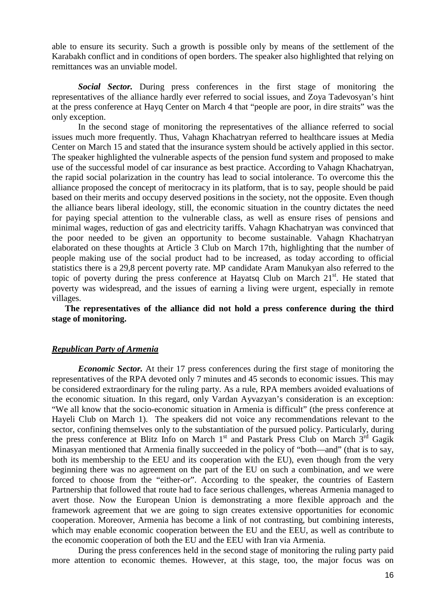able to ensure its security. Such a growth is possible only by means of the settlement of the Karabakh conflict and in conditions of open borders. The speaker also highlighted that relying on remittances was an unviable model.

*Social Sector.* During press conferences in the first stage of monitoring the representatives of the alliance hardly ever referred to social issues, and Zoya Tadevosyan's hint at the press conference at Hayq Center on March 4 that "people are poor, in dire straits" was the only exception.

In the second stage of monitoring the representatives of the alliance referred to social issues much more frequently. Thus, Vahagn Khachatryan referred to healthcare issues at Media Center on March 15 and stated that the insurance system should be actively applied in this sector. The speaker highlighted the vulnerable aspects of the pension fund system and proposed to make use of the successful model of car insurance as best practice. According to Vahagn Khachatryan, the rapid social polarization in the country has lead to social intolerance. To overcome this the alliance proposed the concept of meritocracy in its platform, that is to say, people should be paid based on their merits and occupy deserved positions in the society, not the opposite. Even though the alliance bears liberal ideology, still, the economic situation in the country dictates the need for paying special attention to the vulnerable class, as well as ensure rises of pensions and minimal wages, reduction of gas and electricity tariffs. Vahagn Khachatryan was convinced that the poor needed to be given an opportunity to become sustainable. Vahagn Khachatryan elaborated on these thoughts at Article 3 Club on March 17th, highlighting that the number of people making use of the social product had to be increased, as today according to official statistics there is a 29,8 percent poverty rate. MP candidate Aram Manukyan also referred to the topic of poverty during the press conference at Hayatsq Club on March  $21<sup>st</sup>$ . He stated that poverty was widespread, and the issues of earning a living were urgent, especially in remote villages.

**The representatives of the alliance did not hold a press conference during the third stage of monitoring.** 

#### *Republican Party of Armenia*

*Economic Sector.* At their 17 press conferences during the first stage of monitoring the representatives of the RPA devoted only 7 minutes and 45 seconds to economic issues. This may be considered extraordinary for the ruling party. As a rule, RPA members avoided evaluations of the economic situation. In this regard, only Vardan Ayvazyan's consideration is an exception: "We all know that the socio-economic situation in Armenia is difficult" (the press conference at Hayeli Club on March 1). The speakers did not voice any recommendations relevant to the sector, confining themselves only to the substantiation of the pursued policy. Particularly, during the press conference at Blitz Info on March  $1<sup>st</sup>$  and Pastark Press Club on March  $3<sup>rd</sup>$  Gagik Minasyan mentioned that Armenia finally succeeded in the policy of "both—and" (that is to say, both its membership to the EEU and its cooperation with the EU), even though from the very beginning there was no agreement on the part of the EU on such a combination, and we were forced to choose from the "either-or". According to the speaker, the countries of Eastern Partnership that followed that route had to face serious challenges, whereas Armenia managed to avert those. Now the European Union is demonstrating a more flexible approach and the framework agreement that we are going to sign creates extensive opportunities for economic cooperation. Moreover, Armenia has become a link of not contrasting, but combining interests, which may enable economic cooperation between the EU and the EEU, as well as contribute to the economic cooperation of both the EU and the EEU with Iran via Armenia.

During the press conferences held in the second stage of monitoring the ruling party paid more attention to economic themes. However, at this stage, too, the major focus was on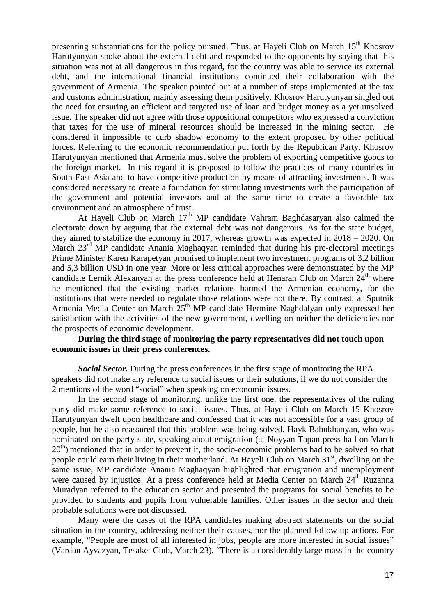presenting substantiations for the policy pursued. Thus, at Hayeli Club on March  $15<sup>th</sup>$  Khosrov Harutyunyan spoke about the external debt and responded to the opponents by saying that this situation was not at all dangerous in this regard, for the country was able to service its external debt, and the international financial institutions continued their collaboration with the government of Armenia. The speaker pointed out at a number of steps implemented at the tax and customs administration, mainly assessing them positively. Khosrov Harutyunyan singled out the need for ensuring an efficient and targeted use of loan and budget money as a yet unsolved issue. The speaker did not agree with those oppositional competitors who expressed a conviction that taxes for the use of mineral resources should be increased in the mining sector. He considered it impossible to curb shadow economy to the extent proposed by other political forces. Referring to the economic recommendation put forth by the Republican Party, Khosrov Harutyunyan mentioned that Armenia must solve the problem of exporting competitive goods to the foreign market. In this regard it is proposed to follow the practices of many countries in South-East Asia and to have competitive production by means of attracting investments. It was considered necessary to create a foundation for stimulating investments with the participation of the government and potential investors and at the same time to create a favorable tax environment and an atmosphere of trust.

At Hayeli Club on March  $17<sup>th</sup>$  MP candidate Vahram Baghdasaryan also calmed the electorate down by arguing that the external debt was not dangerous. As for the state budget, they aimed to stabilize the economy in 2017, whereas growth was expected in 2018 – 2020. On March  $23<sup>rd</sup>$  MP candidate Anania Maghaqyan reminded that during his pre-electoral meetings Prime Minister Karen Karapetyan promised to implement two investment programs of 3,2 billion and 5,3 billion USD in one year. More or less critical approaches were demonstrated by the MP candidate Lernik Alexanyan at the press conference held at Henaran Club on March  $24<sup>th</sup>$  where he mentioned that the existing market relations harmed the Armenian economy, for the institutions that were needed to regulate those relations were not there. By contrast, at Sputnik Armenia Media Center on March 25<sup>th</sup> MP candidate Hermine Naghdalyan only expressed her satisfaction with the activities of the new government, dwelling on neither the deficiencies nor the prospects of economic development.

#### **During the third stage of monitoring the party representatives did not touch upon economic issues in their press conferences.**

*Social Sector.* During the press conferences in the first stage of monitoring the RPA speakers did not make any reference to social issues or their solutions, if we do not consider the 2 mentions of the word "social" when speaking on economic issues.

In the second stage of monitoring, unlike the first one, the representatives of the ruling party did make some reference to social issues. Thus, at Hayeli Club on March 15 Khosrov Harutyunyan dwelt upon healthcare and confessed that it was not accessible for a vast group of people, but he also reassured that this problem was being solved. Hayk Babukhanyan, who was nominated on the party slate, speaking about emigration (at Noyyan Tapan press hall on March  $20<sup>th</sup>$ ) mentioned that in order to prevent it, the socio-economic problems had to be solved so that people could earn their living in their motherland. At Hayeli Club on March  $31<sup>st</sup>$ , dwelling on the same issue, MP candidate Anania Maghaqyan highlighted that emigration and unemployment were caused by injustice. At a press conference held at Media Center on March 24<sup>th</sup> Ruzanna Muradyan referred to the education sector and presented the programs for social benefits to be provided to students and pupils from vulnerable families. Other issues in the sector and their probable solutions were not discussed.

 Many were the cases of the RPA candidates making abstract statements on the social situation in the country, addressing neither their causes, nor the planned follow-up actions. For example, "People are most of all interested in jobs, people are more interested in social issues" (Vardan Ayvazyan, Tesaket Club, March 23), "There is a considerably large mass in the country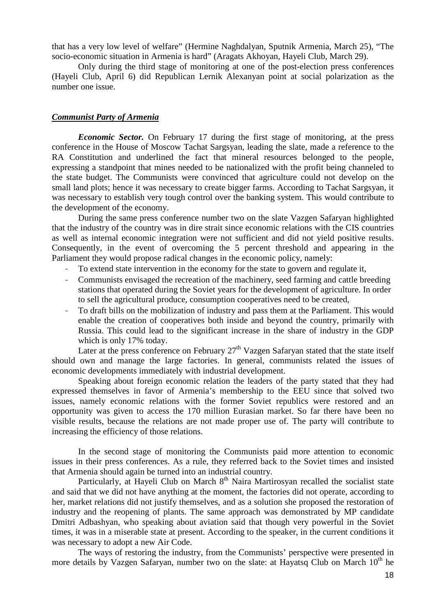that has a very low level of welfare" (Hermine Naghdalyan, Sputnik Armenia, March 25), "The socio-economic situation in Armenia is hard" (Aragats Akhoyan, Hayeli Club, March 29).

Only during the third stage of monitoring at one of the post-election press conferences (Hayeli Club, April 6) did Republican Lernik Alexanyan point at social polarization as the number one issue.

#### *Communist Party of Armenia*

*Economic Sector.* On February 17 during the first stage of monitoring, at the press conference in the House of Moscow Tachat Sargsyan, leading the slate, made a reference to the RA Constitution and underlined the fact that mineral resources belonged to the people. expressing a standpoint that mines needed to be nationalized with the profit being channeled to the state budget. The Communists were convinced that agriculture could not develop on the small land plots; hence it was necessary to create bigger farms. According to Tachat Sargsyan, it was necessary to establish very tough control over the banking system. This would contribute to the development of the economy.

During the same press conference number two on the slate Vazgen Safaryan highlighted that the industry of the country was in dire strait since economic relations with the CIS countries as well as internal economic integration were not sufficient and did not yield positive results. Consequently, in the event of overcoming the 5 percent threshold and appearing in the Parliament they would propose radical changes in the economic policy, namely:

- To extend state intervention in the economy for the state to govern and regulate it,
- Communists envisaged the recreation of the machinery, seed farming and cattle breeding stations that operated during the Soviet years for the development of agriculture. In order to sell the agricultural produce, consumption cooperatives need to be created,
- To draft bills on the mobilization of industry and pass them at the Parliament. This would enable the creation of cooperatives both inside and beyond the country, primarily with Russia. This could lead to the significant increase in the share of industry in the GDP which is only 17% today.

Later at the press conference on February  $27<sup>th</sup>$  Vazgen Safaryan stated that the state itself should own and manage the large factories. In general, communists related the issues of economic developments immediately with industrial development.

Speaking about foreign economic relation the leaders of the party stated that they had expressed themselves in favor of Armenia's membership to the EEU since that solved two issues, namely economic relations with the former Soviet republics were restored and an opportunity was given to access the 170 million Eurasian market. So far there have been no visible results, because the relations are not made proper use of. The party will contribute to increasing the efficiency of those relations.

In the second stage of monitoring the Communists paid more attention to economic issues in their press conferences. As a rule, they referred back to the Soviet times and insisted that Armenia should again be turned into an industrial country.

Particularly, at Hayeli Club on March  $8<sup>th</sup>$  Naira Martirosyan recalled the socialist state and said that we did not have anything at the moment, the factories did not operate, according to her, market relations did not justify themselves, and as a solution she proposed the restoration of industry and the reopening of plants. The same approach was demonstrated by MP candidate Dmitri Adbashyan, who speaking about aviation said that though very powerful in the Soviet times, it was in a miserable state at present. According to the speaker, in the current conditions it was necessary to adopt a new Air Code.

The ways of restoring the industry, from the Communists' perspective were presented in more details by Vazgen Safaryan, number two on the slate: at Hayatsq Club on March  $10<sup>th</sup>$  he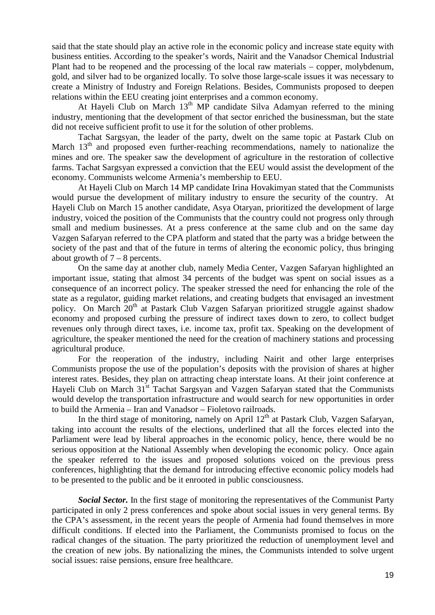said that the state should play an active role in the economic policy and increase state equity with business entities. According to the speaker's words, Nairit and the Vanadsor Chemical Industrial Plant had to be reopened and the processing of the local raw materials – copper, molybdenum, gold, and silver had to be organized locally. To solve those large-scale issues it was necessary to create a Ministry of Industry and Foreign Relations. Besides, Communists proposed to deepen relations within the EEU creating joint enterprises and a common economy.

At Hayeli Club on March  $13<sup>th</sup>$  MP candidate Silva Adamyan referred to the mining industry, mentioning that the development of that sector enriched the businessman, but the state did not receive sufficient profit to use it for the solution of other problems.

Tachat Sargsyan, the leader of the party, dwelt on the same topic at Pastark Club on March  $13<sup>th</sup>$  and proposed even further-reaching recommendations, namely to nationalize the mines and ore. The speaker saw the development of agriculture in the restoration of collective farms. Tachat Sargsyan expressed a conviction that the EEU would assist the development of the economy. Communists welcome Armenia's membership to EEU.

At Hayeli Club on March 14 MP candidate Irina Hovakimyan stated that the Communists would pursue the development of military industry to ensure the security of the country. At Hayeli Club on March 15 another candidate, Asya Otaryan, prioritized the development of large industry, voiced the position of the Communists that the country could not progress only through small and medium businesses. At a press conference at the same club and on the same day Vazgen Safaryan referred to the CPA platform and stated that the party was a bridge between the society of the past and that of the future in terms of altering the economic policy, thus bringing about growth of  $7 - 8$  percents.

On the same day at another club, namely Media Center, Vazgen Safaryan highlighted an important issue, stating that almost 34 percents of the budget was spent on social issues as a consequence of an incorrect policy. The speaker stressed the need for enhancing the role of the state as a regulator, guiding market relations, and creating budgets that envisaged an investment policy. On March 20<sup>th</sup> at Pastark Club Vazgen Safaryan prioritized struggle against shadow economy and proposed curbing the pressure of indirect taxes down to zero, to collect budget revenues only through direct taxes, i.e. income tax, profit tax. Speaking on the development of agriculture, the speaker mentioned the need for the creation of machinery stations and processing agricultural produce.

For the reoperation of the industry, including Nairit and other large enterprises Communists propose the use of the population's deposits with the provision of shares at higher interest rates. Besides, they plan on attracting cheap interstate loans. At their joint conference at Hayeli Club on March 31<sup>st</sup> Tachat Sargsyan and Vazgen Safaryan stated that the Communists would develop the transportation infrastructure and would search for new opportunities in order to build the Armenia – Iran and Vanadsor – Fioletovo railroads.

In the third stage of monitoring, namely on April  $12<sup>th</sup>$  at Pastark Club, Vazgen Safaryan, taking into account the results of the elections, underlined that all the forces elected into the Parliament were lead by liberal approaches in the economic policy, hence, there would be no serious opposition at the National Assembly when developing the economic policy. Once again the speaker referred to the issues and proposed solutions voiced on the previous press conferences, highlighting that the demand for introducing effective economic policy models had to be presented to the public and be it enrooted in public consciousness.

*Social Sector.* In the first stage of monitoring the representatives of the Communist Party participated in only 2 press conferences and spoke about social issues in very general terms. By the CPA's assessment, in the recent years the people of Armenia had found themselves in more difficult conditions. If elected into the Parliament, the Communists promised to focus on the radical changes of the situation. The party prioritized the reduction of unemployment level and the creation of new jobs. By nationalizing the mines, the Communists intended to solve urgent social issues: raise pensions, ensure free healthcare.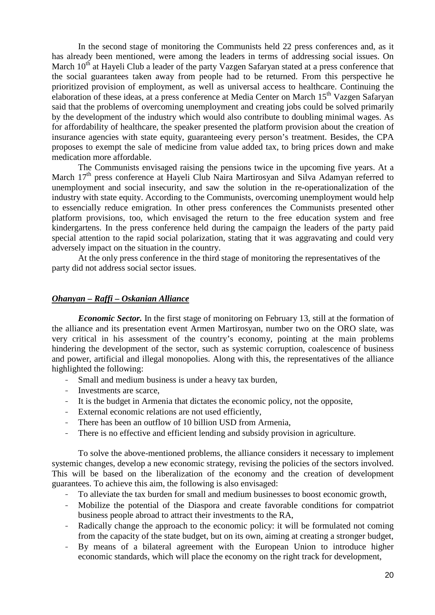In the second stage of monitoring the Communists held 22 press conferences and, as it has already been mentioned, were among the leaders in terms of addressing social issues. On March  $10<sup>th</sup>$  at Hayeli Club a leader of the party Vazgen Safaryan stated at a press conference that the social guarantees taken away from people had to be returned. From this perspective he prioritized provision of employment, as well as universal access to healthcare. Continuing the elaboration of these ideas, at a press conference at Media Center on March  $15<sup>th</sup>$  Vazgen Safaryan said that the problems of overcoming unemployment and creating jobs could be solved primarily by the development of the industry which would also contribute to doubling minimal wages. As for affordability of healthcare, the speaker presented the platform provision about the creation of insurance agencies with state equity, guaranteeing every person's treatment. Besides, the CPA proposes to exempt the sale of medicine from value added tax, to bring prices down and make medication more affordable.

The Communists envisaged raising the pensions twice in the upcoming five years. At a March 17<sup>th</sup> press conference at Hayeli Club Naira Martirosyan and Silva Adamyan referred to unemployment and social insecurity, and saw the solution in the re-operationalization of the industry with state equity. According to the Communists, overcoming unemployment would help to essencially reduce emigration. In other press conferences the Communists presented other platform provisions, too, which envisaged the return to the free education system and free kindergartens. In the press conference held during the campaign the leaders of the party paid special attention to the rapid social polarization, stating that it was aggravating and could very adversely impact on the situation in the country.

At the only press conference in the third stage of monitoring the representatives of the party did not address social sector issues.

#### *Ohanyan – Raffi – Oskanian Alliance*

*Economic Sector.* In the first stage of monitoring on February 13, still at the formation of the alliance and its presentation event Armen Martirosyan, number two on the ORO slate, was very critical in his assessment of the country's economy, pointing at the main problems hindering the development of the sector, such as systemic corruption, coalescence of business and power, artificial and illegal monopolies. Along with this, the representatives of the alliance highlighted the following:

- Small and medium business is under a heavy tax burden,
- Investments are scarce,
- It is the budget in Armenia that dictates the economic policy, not the opposite,
- External economic relations are not used efficiently,
- There has been an outflow of 10 billion USD from Armenia,
- There is no effective and efficient lending and subsidy provision in agriculture.

To solve the above-mentioned problems, the alliance considers it necessary to implement systemic changes, develop a new economic strategy, revising the policies of the sectors involved. This will be based on the liberalization of the economy and the creation of development guarantees. To achieve this aim, the following is also envisaged:

- To alleviate the tax burden for small and medium businesses to boost economic growth,
- Mobilize the potential of the Diaspora and create favorable conditions for compatriot business people abroad to attract their investments to the RA,
- Radically change the approach to the economic policy: it will be formulated not coming from the capacity of the state budget, but on its own, aiming at creating a stronger budget,
- By means of a bilateral agreement with the European Union to introduce higher economic standards, which will place the economy on the right track for development,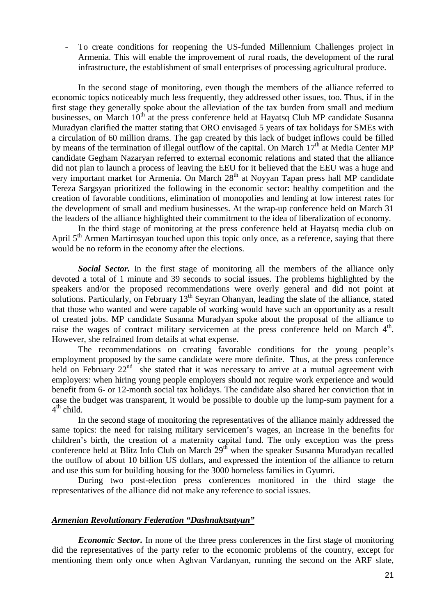- To create conditions for reopening the US-funded Millennium Challenges project in Armenia. This will enable the improvement of rural roads, the development of the rural infrastructure, the establishment of small enterprises of processing agricultural produce.

In the second stage of monitoring, even though the members of the alliance referred to economic topics noticeably much less frequently, they addressed other issues, too. Thus, if in the first stage they generally spoke about the alleviation of the tax burden from small and medium businesses, on March  $10<sup>th</sup>$  at the press conference held at Hayatsq Club MP candidate Susanna Muradyan clarified the matter stating that ORO envisaged 5 years of tax holidays for SMEs with a circulation of 60 million drams. The gap created by this lack of budget inflows could be filled by means of the termination of illegal outflow of the capital. On March  $17<sup>th</sup>$  at Media Center MP candidate Gegham Nazaryan referred to external economic relations and stated that the alliance did not plan to launch a process of leaving the EEU for it believed that the EEU was a huge and very important market for Armenia. On March 28<sup>th</sup> at Noyyan Tapan press hall MP candidate Tereza Sargsyan prioritized the following in the economic sector: healthy competition and the creation of favorable conditions, elimination of monopolies and lending at low interest rates for the development of small and medium businesses. At the wrap-up conference held on March 31 the leaders of the alliance highlighted their commitment to the idea of liberalization of economy.

In the third stage of monitoring at the press conference held at Hayatsq media club on April 5<sup>th</sup> Armen Martirosyan touched upon this topic only once, as a reference, saying that there would be no reform in the economy after the elections.

*Social Sector.* In the first stage of monitoring all the members of the alliance only devoted a total of 1 minute and 39 seconds to social issues. The problems highlighted by the speakers and/or the proposed recommendations were overly general and did not point at solutions. Particularly, on February 13<sup>th</sup> Seyran Ohanyan, leading the slate of the alliance, stated that those who wanted and were capable of working would have such an opportunity as a result of created jobs. MP candidate Susanna Muradyan spoke about the proposal of the alliance to raise the wages of contract military servicemen at the press conference held on March 4<sup>th</sup>. However, she refrained from details at what expense.

The recommendations on creating favorable conditions for the young people's employment proposed by the same candidate were more definite. Thus, at the press conference held on February 22<sup>nd</sup> she stated that it was necessary to arrive at a mutual agreement with employers: when hiring young people employers should not require work experience and would benefit from 6- or 12-month social tax holidays. The candidate also shared her conviction that in case the budget was transparent, it would be possible to double up the lump-sum payment for a 4<sup>th</sup> child.

In the second stage of monitoring the representatives of the alliance mainly addressed the same topics: the need for raising military servicemen's wages, an increase in the benefits for children's birth, the creation of a maternity capital fund. The only exception was the press conference held at Blitz Info Club on March 29<sup>th</sup> when the speaker Susanna Muradyan recalled the outflow of about 10 billion US dollars, and expressed the intention of the alliance to return and use this sum for building housing for the 3000 homeless families in Gyumri.

During two post-election press conferences monitored in the third stage the representatives of the alliance did not make any reference to social issues.

#### *Armenian Revolutionary Federation "Dashnaktsutyun"*

*Economic Sector.* In none of the three press conferences in the first stage of monitoring did the representatives of the party refer to the economic problems of the country, except for mentioning them only once when Aghvan Vardanyan, running the second on the ARF slate,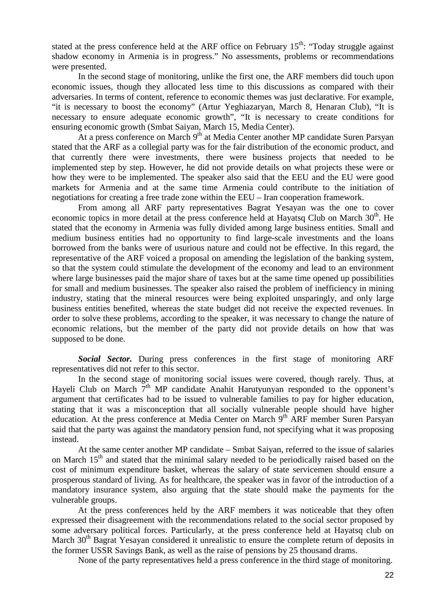stated at the press conference held at the ARF office on February  $15<sup>th</sup>$ : "Today struggle against shadow economy in Armenia is in progress." No assessments, problems or recommendations were presented.

In the second stage of monitoring, unlike the first one, the ARF members did touch upon economic issues, though they allocated less time to this discussions as compared with their adversaries. In terms of content, reference to economic themes was just declarative. For example, "it is necessary to boost the economy" (Artur Yeghiazaryan, March 8, Henaran Club), "It is necessary to ensure adequate economic growth", "It is necessary to create conditions for ensuring economic growth (Smbat Saiyan, March 15, Media Center).

At a press conference on March  $9<sup>th</sup>$  at Media Center another MP candidate Suren Parsyan stated that the ARF as a collegial party was for the fair distribution of the economic product, and that currently there were investments, there were business projects that needed to be implemented step by step. However, he did not provide details on what projects these were or how they were to be implemented. The speaker also said that the EEU and the EU were good markets for Armenia and at the same time Armenia could contribute to the initiation of negotiations for creating a free trade zone within the EEU – Iran cooperation framework.

From among all ARF party representatives Bagrat Yesayan was the one to cover economic topics in more detail at the press conference held at Hayatsq Club on March 30<sup>th</sup>. He stated that the economy in Armenia was fully divided among large business entities. Small and medium business entities had no opportunity to find large-scale investments and the loans borrowed from the banks were of usurious nature and could not be effective. In this regard, the representative of the ARF voiced a proposal on amending the legislation of the banking system, so that the system could stimulate the development of the economy and lead to an environment where large businesses paid the major share of taxes but at the same time opened up possibilities for small and medium businesses. The speaker also raised the problem of inefficiency in mining industry, stating that the mineral resources were being exploited unsparingly, and only large business entities benefited, whereas the state budget did not receive the expected revenues. In order to solve these problems, according to the speaker, it was necessary to change the nature of economic relations, but the member of the party did not provide details on how that was supposed to be done.

*Social Sector.* During press conferences in the first stage of monitoring ARF representatives did not refer to this sector.

In the second stage of monitoring social issues were covered, though rarely. Thus, at Hayeli Club on March  $7<sup>th</sup>$  MP candidate Anahit Harutyunyan responded to the opponent's argument that certificates had to be issued to vulnerable families to pay for higher education, stating that it was a misconception that all socially vulnerable people should have higher education. At the press conference at Media Center on March 9<sup>th</sup> ARF member Suren Parsyan said that the party was against the mandatory pension fund, not specifying what it was proposing instead.

At the same center another MP candidate – Smbat Saiyan, referred to the issue of salaries on March 15<sup>th</sup> and stated that the minimal salary needed to be periodically raised based on the cost of minimum expenditure basket, whereas the salary of state servicemen should ensure a prosperous standard of living. As for healthcare, the speaker was in favor of the introduction of a mandatory insurance system, also arguing that the state should make the payments for the vulnerable groups.

At the press conferences held by the ARF members it was noticeable that they often expressed their disagreement with the recommendations related to the social sector proposed by some adversary political forces. Particularly, at the press conference held at Hayatsq club on March 30<sup>th</sup> Bagrat Yesayan considered it unrealistic to ensure the complete return of deposits in the former USSR Savings Bank, as well as the raise of pensions by 25 thousand drams.

None of the party representatives held a press conference in the third stage of monitoring.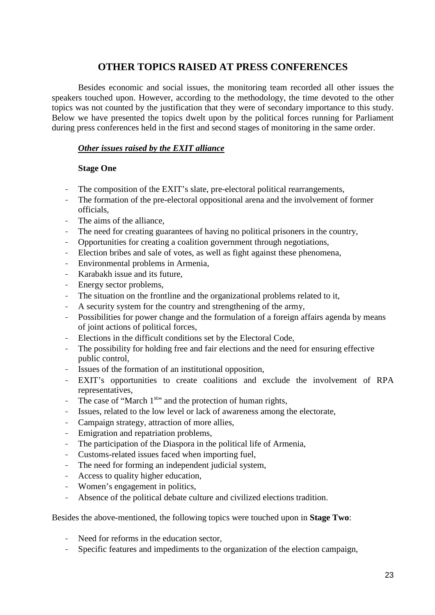# **OTHER TOPICS RAISED AT PRESS CONFERENCES**

Besides economic and social issues, the monitoring team recorded all other issues the speakers touched upon. However, according to the methodology, the time devoted to the other topics was not counted by the justification that they were of secondary importance to this study. Below we have presented the topics dwelt upon by the political forces running for Parliament during press conferences held in the first and second stages of monitoring in the same order.

# *Other issues raised by the EXIT alliance*

## **Stage One**

- The composition of the EXIT's slate, pre-electoral political rearrangements,
- The formation of the pre-electoral oppositional arena and the involvement of former officials,
- The aims of the alliance.
- The need for creating guarantees of having no political prisoners in the country,
- Opportunities for creating a coalition government through negotiations,
- Election bribes and sale of votes, as well as fight against these phenomena,
- Environmental problems in Armenia,
- Karabakh issue and its future,
- Energy sector problems,
- The situation on the frontline and the organizational problems related to it,
- A security system for the country and strengthening of the army,
- Possibilities for power change and the formulation of a foreign affairs agenda by means of joint actions of political forces,
- Elections in the difficult conditions set by the Electoral Code,
- The possibility for holding free and fair elections and the need for ensuring effective public control,
- Issues of the formation of an institutional opposition,
- EXIT's opportunities to create coalitions and exclude the involvement of RPA representatives,
- The case of "March  $1^{st}$ " and the protection of human rights,
- Issues, related to the low level or lack of awareness among the electorate,
- Campaign strategy, attraction of more allies,
- Emigration and repatriation problems,
- The participation of the Diaspora in the political life of Armenia,
- Customs-related issues faced when importing fuel,
- The need for forming an independent judicial system,
- Access to quality higher education,
- Women's engagement in politics,
- Absence of the political debate culture and civilized elections tradition.

Besides the above-mentioned, the following topics were touched upon in **Stage Two**:

- Need for reforms in the education sector,
- Specific features and impediments to the organization of the election campaign,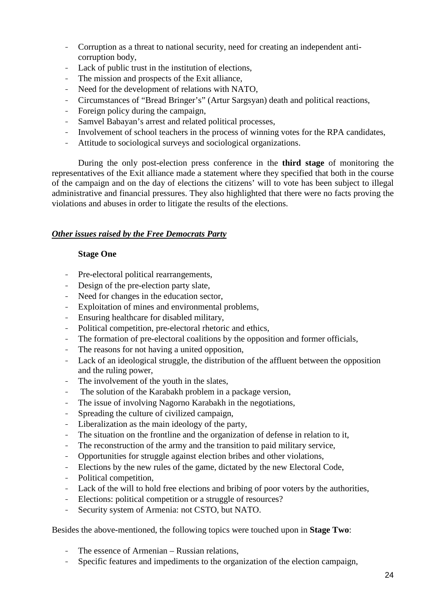- Corruption as a threat to national security, need for creating an independent anticorruption body,
- Lack of public trust in the institution of elections,
- The mission and prospects of the Exit alliance,
- Need for the development of relations with NATO,
- Circumstances of "Bread Bringer's" (Artur Sargsyan) death and political reactions,
- Foreign policy during the campaign,
- Samvel Babayan's arrest and related political processes,
- Involvement of school teachers in the process of winning votes for the RPA candidates,
- Attitude to sociological surveys and sociological organizations.

During the only post-election press conference in the **third stage** of monitoring the representatives of the Exit alliance made a statement where they specified that both in the course of the campaign and on the day of elections the citizens' will to vote has been subject to illegal administrative and financial pressures. They also highlighted that there were no facts proving the violations and abuses in order to litigate the results of the elections.

# *Other issues raised by the Free Democrats Party*

## **Stage One**

- Pre-electoral political rearrangements,
- Design of the pre-election party slate,
- Need for changes in the education sector,
- Exploitation of mines and environmental problems,
- Ensuring healthcare for disabled military,
- Political competition, pre-electoral rhetoric and ethics,
- The formation of pre-electoral coalitions by the opposition and former officials,
- The reasons for not having a united opposition,
- Lack of an ideological struggle, the distribution of the affluent between the opposition and the ruling power,
- The involvement of the youth in the slates,
- The solution of the Karabakh problem in a package version,
- The issue of involving Nagorno Karabakh in the negotiations,
- Spreading the culture of civilized campaign,
- Liberalization as the main ideology of the party,
- The situation on the frontline and the organization of defense in relation to it,
- The reconstruction of the army and the transition to paid military service,
- Opportunities for struggle against election bribes and other violations,
- Elections by the new rules of the game, dictated by the new Electoral Code,
- Political competition,
- Lack of the will to hold free elections and bribing of poor voters by the authorities,
- Elections: political competition or a struggle of resources?
- Security system of Armenia: not CSTO, but NATO.

Besides the above-mentioned, the following topics were touched upon in **Stage Two**:

- The essence of Armenian Russian relations,
- Specific features and impediments to the organization of the election campaign,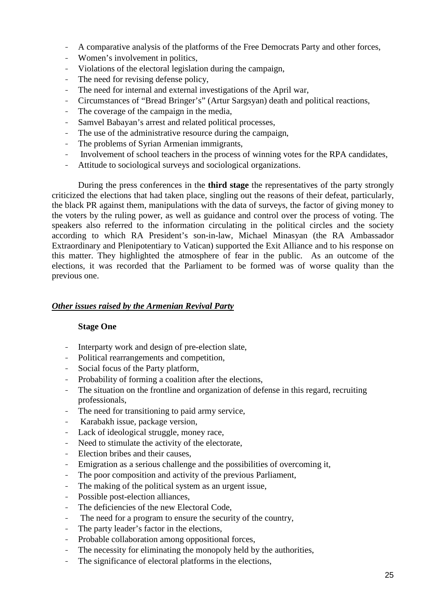- A comparative analysis of the platforms of the Free Democrats Party and other forces,
- Women's involvement in politics,
- Violations of the electoral legislation during the campaign,
- The need for revising defense policy,
- The need for internal and external investigations of the April war,
- Circumstances of "Bread Bringer's" (Artur Sargsyan) death and political reactions,
- The coverage of the campaign in the media,
- Samvel Babayan's arrest and related political processes,
- The use of the administrative resource during the campaign,
- The problems of Syrian Armenian immigrants,
- Involvement of school teachers in the process of winning votes for the RPA candidates,
- Attitude to sociological surveys and sociological organizations.

During the press conferences in the **third stage** the representatives of the party strongly criticized the elections that had taken place, singling out the reasons of their defeat, particularly, the black PR against them, manipulations with the data of surveys, the factor of giving money to the voters by the ruling power, as well as guidance and control over the process of voting. The speakers also referred to the information circulating in the political circles and the society according to which RA President's son-in-law, Michael Minasyan (the RA Ambassador Extraordinary and Plenipotentiary to Vatican) supported the Exit Alliance and to his response on this matter. They highlighted the atmosphere of fear in the public. As an outcome of the elections, it was recorded that the Parliament to be formed was of worse quality than the previous one.

## *Other issues raised by the Armenian Revival Party*

#### **Stage One**

- Interparty work and design of pre-election slate,
- Political rearrangements and competition,
- Social focus of the Party platform.
- Probability of forming a coalition after the elections,
- The situation on the frontline and organization of defense in this regard, recruiting professionals,
- The need for transitioning to paid army service,
- Karabakh issue, package version,
- Lack of ideological struggle, money race,
- Need to stimulate the activity of the electorate,
- Election bribes and their causes,
- Emigration as a serious challenge and the possibilities of overcoming it,
- The poor composition and activity of the previous Parliament,
- The making of the political system as an urgent issue,
- Possible post-election alliances,
- The deficiencies of the new Electoral Code,
- The need for a program to ensure the security of the country,
- The party leader's factor in the elections,
- Probable collaboration among oppositional forces,
- The necessity for eliminating the monopoly held by the authorities,
- The significance of electoral platforms in the elections,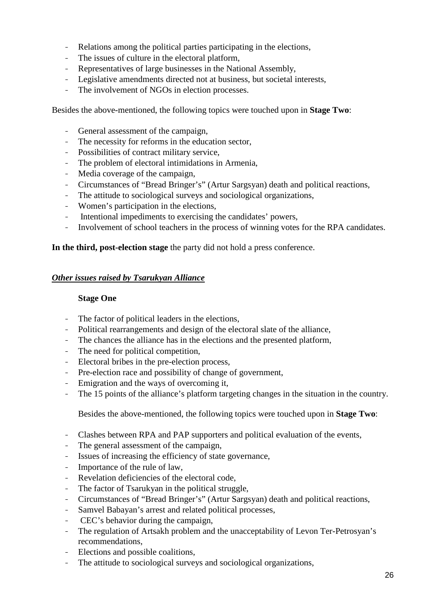- Relations among the political parties participating in the elections,
- The issues of culture in the electoral platform,
- Representatives of large businesses in the National Assembly,
- Legislative amendments directed not at business, but societal interests,
- The involvement of NGOs in election processes.

Besides the above-mentioned, the following topics were touched upon in **Stage Two**:

- General assessment of the campaign,
- The necessity for reforms in the education sector,
- Possibilities of contract military service,
- The problem of electoral intimidations in Armenia,
- Media coverage of the campaign,
- Circumstances of "Bread Bringer's" (Artur Sargsyan) death and political reactions,
- The attitude to sociological surveys and sociological organizations,
- Women's participation in the elections,
- Intentional impediments to exercising the candidates' powers,
- Involvement of school teachers in the process of winning votes for the RPA candidates.

### **In the third, post-election stage** the party did not hold a press conference.

### *Other issues raised by Tsarukyan Alliance*

#### **Stage One**

- The factor of political leaders in the elections,
- Political rearrangements and design of the electoral slate of the alliance,
- The chances the alliance has in the elections and the presented platform,
- The need for political competition,
- Electoral bribes in the pre-election process,
- Pre-election race and possibility of change of government,
- Emigration and the ways of overcoming it,
- The 15 points of the alliance's platform targeting changes in the situation in the country.

Besides the above-mentioned, the following topics were touched upon in **Stage Two**:

- Clashes between RPA and PAP supporters and political evaluation of the events,
- The general assessment of the campaign,
- Issues of increasing the efficiency of state governance,
- Importance of the rule of law,
- Revelation deficiencies of the electoral code,
- The factor of Tsarukyan in the political struggle,
- Circumstances of "Bread Bringer's" (Artur Sargsyan) death and political reactions,
- Samvel Babayan's arrest and related political processes,
- CEC's behavior during the campaign,
- The regulation of Artsakh problem and the unacceptability of Levon Ter-Petrosyan's recommendations,
- Elections and possible coalitions,
- The attitude to sociological surveys and sociological organizations,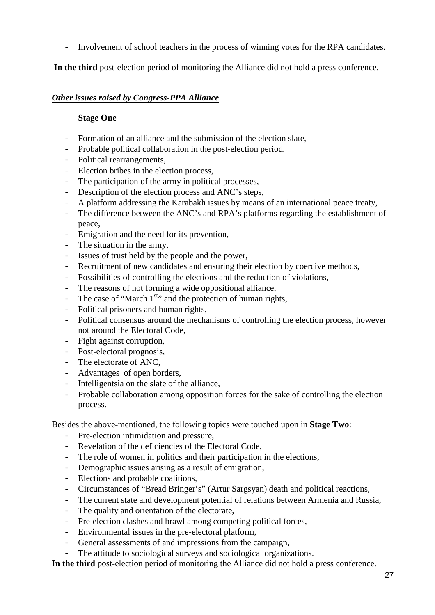- Involvement of school teachers in the process of winning votes for the RPA candidates.

**In the third** post-election period of monitoring the Alliance did not hold a press conference.

# *Other issues raised by Congress-PPA Alliance*

## **Stage One**

- Formation of an alliance and the submission of the election slate,
- Probable political collaboration in the post-election period,
- Political rearrangements,
- Election bribes in the election process,
- The participation of the army in political processes,
- Description of the election process and ANC's steps,
- A platform addressing the Karabakh issues by means of an international peace treaty,
- The difference between the ANC's and RPA's platforms regarding the establishment of peace,
- Emigration and the need for its prevention,
- The situation in the army,
- Issues of trust held by the people and the power,
- Recruitment of new candidates and ensuring their election by coercive methods,
- Possibilities of controlling the elections and the reduction of violations,
- The reasons of not forming a wide oppositional alliance,
- The case of "March  $1^{st}$ " and the protection of human rights,
- Political prisoners and human rights,
- Political consensus around the mechanisms of controlling the election process, however not around the Electoral Code,
- Fight against corruption,
- Post-electoral prognosis,
- The electorate of ANC,
- Advantages of open borders,
- Intelligentsia on the slate of the alliance,
- Probable collaboration among opposition forces for the sake of controlling the election process.

Besides the above-mentioned, the following topics were touched upon in **Stage Two**:

- Pre-election intimidation and pressure,
- Revelation of the deficiencies of the Electoral Code,
- The role of women in politics and their participation in the elections,
- Demographic issues arising as a result of emigration,
- Elections and probable coalitions,
- Circumstances of "Bread Bringer's" (Artur Sargsyan) death and political reactions,
- The current state and development potential of relations between Armenia and Russia.
- The quality and orientation of the electorate,
- Pre-election clashes and brawl among competing political forces,
- Environmental issues in the pre-electoral platform,
- General assessments of and impressions from the campaign,
- The attitude to sociological surveys and sociological organizations.

**In the third** post-election period of monitoring the Alliance did not hold a press conference.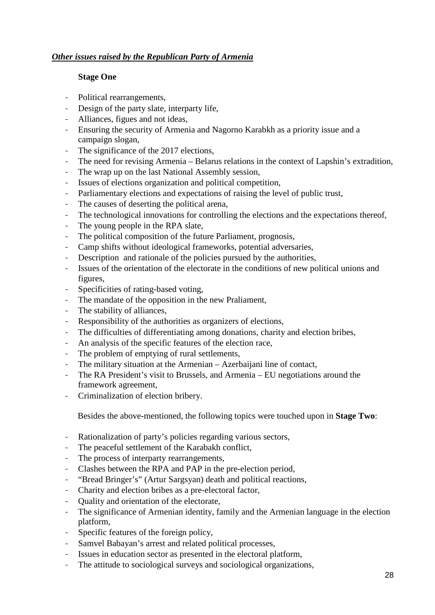# *Other issues raised by the Republican Party of Armenia*

## **Stage One**

- Political rearrangements,
- Design of the party slate, interparty life,
- Alliances, figues and not ideas,
- Ensuring the security of Armenia and Nagorno Karabkh as a priority issue and a campaign slogan,
- The significance of the 2017 elections,
- The need for revising Armenia Belarus relations in the context of Lapshin's extradition,
- The wrap up on the last National Assembly session,
- Issues of elections organization and political competition,
- Parliamentary elections and expectations of raising the level of public trust,
- The causes of deserting the political arena,
- The technological innovations for controlling the elections and the expectations thereof,
- The young people in the RPA slate,
- The political composition of the future Parliament, prognosis,
- Camp shifts without ideological frameworks, potential adversaries,
- Description and rationale of the policies pursued by the authorities,
- Issues of the orientation of the electorate in the conditions of new political unions and figures,
- Specificities of rating-based voting,
- The mandate of the opposition in the new Praliament,
- The stability of alliances,
- Responsibility of the authorities as organizers of elections,
- The difficulties of differentiating among donations, charity and election bribes,
- An analysis of the specific features of the election race,
- The problem of emptying of rural settlements,
- The military situation at the Armenian Azerbaijani line of contact,
- The RA President's visit to Brussels, and Armenia EU negotiations around the framework agreement,
- Criminalization of election bribery.

Besides the above-mentioned, the following topics were touched upon in **Stage Two**:

- Rationalization of party's policies regarding various sectors,
- The peaceful settlement of the Karabakh conflict,
- The process of interparty rearrangements,
- Clashes between the RPA and PAP in the pre-election period,
- "Bread Bringer's" (Artur Sargsyan) death and political reactions,
- Charity and election bribes as a pre-electoral factor,
- Quality and orientation of the electorate,
- The significance of Armenian identity, family and the Armenian language in the election platform,
- Specific features of the foreign policy,
- Samvel Babayan's arrest and related political processes,
- Issues in education sector as presented in the electoral platform,
- The attitude to sociological surveys and sociological organizations,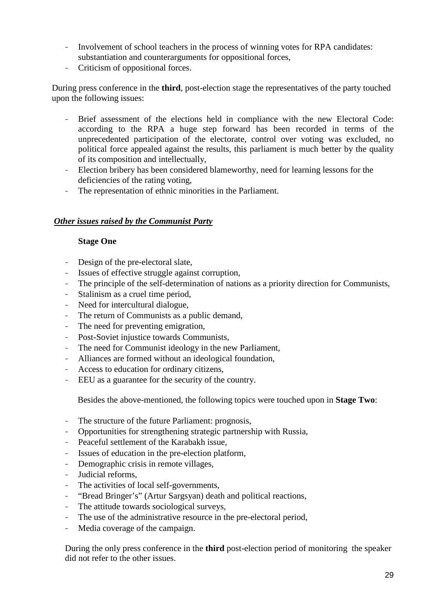- Involvement of school teachers in the process of winning votes for RPA candidates: substantiation and counterarguments for oppositional forces,
- Criticism of oppositional forces.

During press conference in the **third**, post-election stage the representatives of the party touched upon the following issues:

- Brief assessment of the elections held in compliance with the new Electoral Code: according to the RPA a huge step forward has been recorded in terms of the unprecedented participation of the electorate, control over voting was excluded, no political force appealed against the results, this parliament is much better by the quality of its composition and intellectually,
- Election bribery has been considered blameworthy, need for learning lessons for the deficiencies of the rating voting,
- The representation of ethnic minorities in the Parliament.

# *Other issues raised by the Communist Party*

### **Stage One**

- Design of the pre-electoral slate,
- Issues of effective struggle against corruption,
- The principle of the self-determination of nations as a priority direction for Communists,
- Stalinism as a cruel time period,
- Need for intercultural dialogue,
- The return of Communists as a public demand,
- The need for preventing emigration,
- Post-Soviet injustice towards Communists,
- The need for Communist ideology in the new Parliament,
- Alliances are formed without an ideological foundation,
- Access to education for ordinary citizens,
- EEU as a guarantee for the security of the country.

Besides the above-mentioned, the following topics were touched upon in **Stage Two**:

- The structure of the future Parliament: prognosis,
- Opportunities for strengthening strategic partnership with Russia,
- Peaceful settlement of the Karabakh issue,
- Issues of education in the pre-election platform,
- Demographic crisis in remote villages,
- Judicial reforms,
- The activities of local self-governments,
- "Bread Bringer's" (Artur Sargsyan) death and political reactions,
- The attitude towards sociological surveys,
- The use of the administrative resource in the pre-electoral period,
- Media coverage of the campaign.

During the only press conference in the **third** post-election period of monitoring the speaker did not refer to the other issues.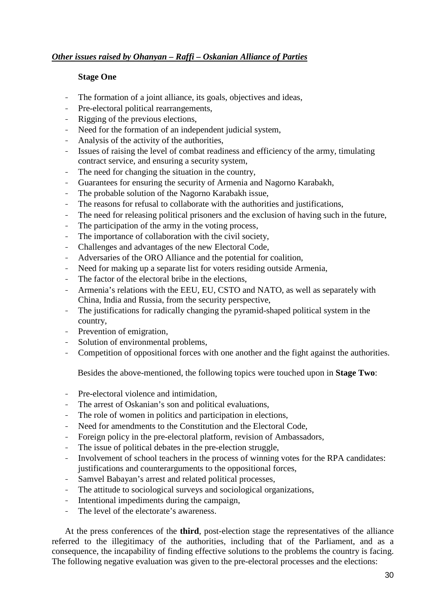# *Other issues raised by Ohanyan – Raffi – Oskanian Alliance of Parties*

### **Stage One**

- The formation of a joint alliance, its goals, objectives and ideas,
- Pre-electoral political rearrangements,
- Rigging of the previous elections.
- Need for the formation of an independent judicial system,
- Analysis of the activity of the authorities,
- Issues of raising the level of combat readiness and efficiency of the army, timulating contract service, and ensuring a security system,
- The need for changing the situation in the country,
- Guarantees for ensuring the security of Armenia and Nagorno Karabakh,
- The probable solution of the Nagorno Karabakh issue,
- The reasons for refusal to collaborate with the authorities and justifications,
- The need for releasing political prisoners and the exclusion of having such in the future,
- The participation of the army in the voting process,
- The importance of collaboration with the civil society,
- Challenges and advantages of the new Electoral Code,
- Adversaries of the ORO Alliance and the potential for coalition,
- Need for making up a separate list for voters residing outside Armenia,
- The factor of the electoral bribe in the elections.
- Armenia's relations with the EEU, EU, CSTO and NATO, as well as separately with China, India and Russia, from the security perspective,
- The justifications for radically changing the pyramid-shaped political system in the country,
- Prevention of emigration,
- Solution of environmental problems,
- Competition of oppositional forces with one another and the fight against the authorities.

Besides the above-mentioned, the following topics were touched upon in **Stage Two**:

- Pre-electoral violence and intimidation,
- The arrest of Oskanian's son and political evaluations,
- The role of women in politics and participation in elections,
- Need for amendments to the Constitution and the Electoral Code,
- Foreign policy in the pre-electoral platform, revision of Ambassadors,
- The issue of political debates in the pre-election struggle,
- Involvement of school teachers in the process of winning votes for the RPA candidates: justifications and counterarguments to the oppositional forces,
- Samvel Babayan's arrest and related political processes,
- The attitude to sociological surveys and sociological organizations,
- Intentional impediments during the campaign,
- The level of the electorate's awareness.

At the press conferences of the **third**, post-election stage the representatives of the alliance referred to the illegitimacy of the authorities, including that of the Parliament, and as a consequence, the incapability of finding effective solutions to the problems the country is facing. The following negative evaluation was given to the pre-electoral processes and the elections: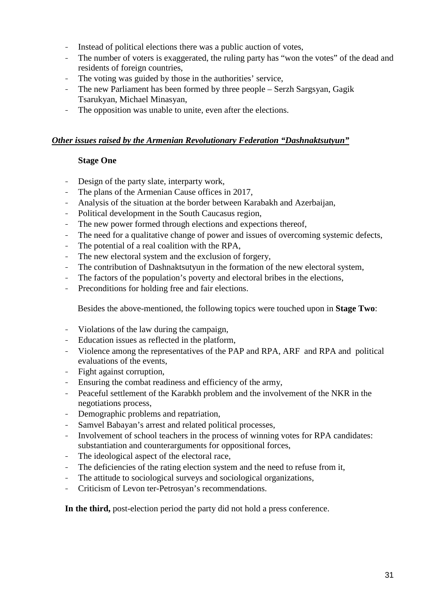- Instead of political elections there was a public auction of votes,
- The number of voters is exaggerated, the ruling party has "won the votes" of the dead and residents of foreign countries,
- The voting was guided by those in the authorities' service,
- The new Parliament has been formed by three people Serzh Sargsyan, Gagik Tsarukyan, Michael Minasyan,
- The opposition was unable to unite, even after the elections.

### *Other issues raised by the Armenian Revolutionary Federation "Dashnaktsutyun"*

### **Stage One**

- Design of the party slate, interparty work,
- The plans of the Armenian Cause offices in 2017,
- Analysis of the situation at the border between Karabakh and Azerbaijan,
- Political development in the South Caucasus region,
- The new power formed through elections and expections thereof,
- The need for a qualitative change of power and issues of overcoming systemic defects,
- The potential of a real coalition with the RPA,
- The new electoral system and the exclusion of forgery,
- The contribution of Dashnaktsutyun in the formation of the new electoral system,
- The factors of the population's poverty and electoral bribes in the elections,
- Preconditions for holding free and fair elections.

Besides the above-mentioned, the following topics were touched upon in **Stage Two**:

- Violations of the law during the campaign,
- Education issues as reflected in the platform,
- Violence among the representatives of the PAP and RPA, ARF and RPA and political evaluations of the events,
- Fight against corruption,
- Ensuring the combat readiness and efficiency of the army,
- Peaceful settlement of the Karabkh problem and the involvement of the NKR in the negotiations process,
- Demographic problems and repatriation,
- Samvel Babayan's arrest and related political processes,
- Involvement of school teachers in the process of winning votes for RPA candidates: substantiation and counterarguments for oppositional forces,
- The ideological aspect of the electoral race,
- The deficiencies of the rating election system and the need to refuse from it,
- The attitude to sociological surveys and sociological organizations,
- Criticism of Levon ter-Petrosyan's recommendations.

**In the third,** post-election period the party did not hold a press conference.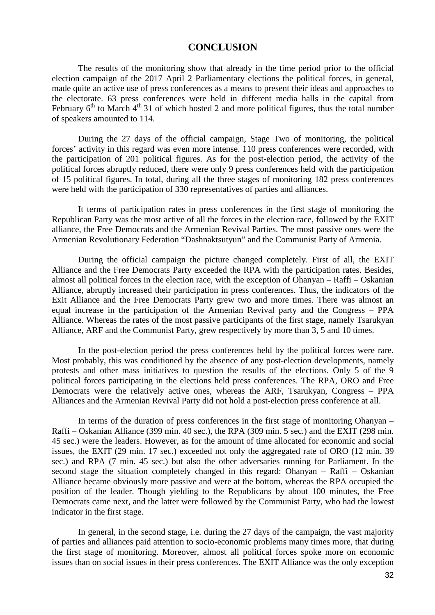#### **CONCLUSION**

The results of the monitoring show that already in the time period prior to the official election campaign of the 2017 April 2 Parliamentary elections the political forces, in general, made quite an active use of press conferences as a means to present their ideas and approaches to the electorate. 63 press conferences were held in different media halls in the capital from February  $6<sup>th</sup>$  to March  $4<sup>th</sup>$  31 of which hosted 2 and more political figures, thus the total number of speakers amounted to 114.

During the 27 days of the official campaign, Stage Two of monitoring, the political forces' activity in this regard was even more intense. 110 press conferences were recorded, with the participation of 201 political figures. As for the post-election period, the activity of the political forces abruptly reduced, there were only 9 press conferences held with the participation of 15 political figures. In total, during all the three stages of monitoring 182 press conferences were held with the participation of 330 representatives of parties and alliances.

It terms of participation rates in press conferences in the first stage of monitoring the Republican Party was the most active of all the forces in the election race, followed by the EXIT alliance, the Free Democrats and the Armenian Revival Parties. The most passive ones were the Armenian Revolutionary Federation "Dashnaktsutyun" and the Communist Party of Armenia.

During the official campaign the picture changed completely. First of all, the EXIT Alliance and the Free Democrats Party exceeded the RPA with the participation rates. Besides, almost all political forces in the election race, with the exception of Ohanyan – Raffi – Oskanian Alliance, abruptly increased their participation in press conferences. Thus, the indicators of the Exit Alliance and the Free Democrats Party grew two and more times. There was almost an equal increase in the participation of the Armenian Revival party and the Congress – PPA Alliance. Whereas the rates of the most passive participants of the first stage, namely Tsarukyan Alliance, ARF and the Communist Party, grew respectively by more than 3, 5 and 10 times.

In the post-election period the press conferences held by the political forces were rare. Most probably, this was conditioned by the absence of any post-election developments, namely protests and other mass initiatives to question the results of the elections. Only 5 of the 9 political forces participating in the elections held press conferences. The RPA, ORO and Free Democrats were the relatively active ones, whereas the ARF, Tsarukyan, Congress – PPA Alliances and the Armenian Revival Party did not hold a post-election press conference at all.

In terms of the duration of press conferences in the first stage of monitoring Ohanyan – Raffi – Oskanian Alliance (399 min. 40 sec.), the RPA (309 min. 5 sec.) and the EXIT (298 min. 45 sec.) were the leaders. However, as for the amount of time allocated for economic and social issues, the EXIT (29 min. 17 sec.) exceeded not only the aggregated rate of ORO (12 min. 39 sec.) and RPA (7 min. 45 sec.) but also the other adversaries running for Parliament. In the second stage the situation completely changed in this regard: Ohanyan – Raffi – Oskanian Alliance became obviously more passive and were at the bottom, whereas the RPA occupied the position of the leader. Though yielding to the Republicans by about 100 minutes, the Free Democrats came next, and the latter were followed by the Communist Party, who had the lowest indicator in the first stage.

In general, in the second stage, i.e. during the 27 days of the campaign, the vast majority of parties and alliances paid attention to socio-economic problems many times more, that during the first stage of monitoring. Moreover, almost all political forces spoke more on economic issues than on social issues in their press conferences. The EXIT Alliance was the only exception